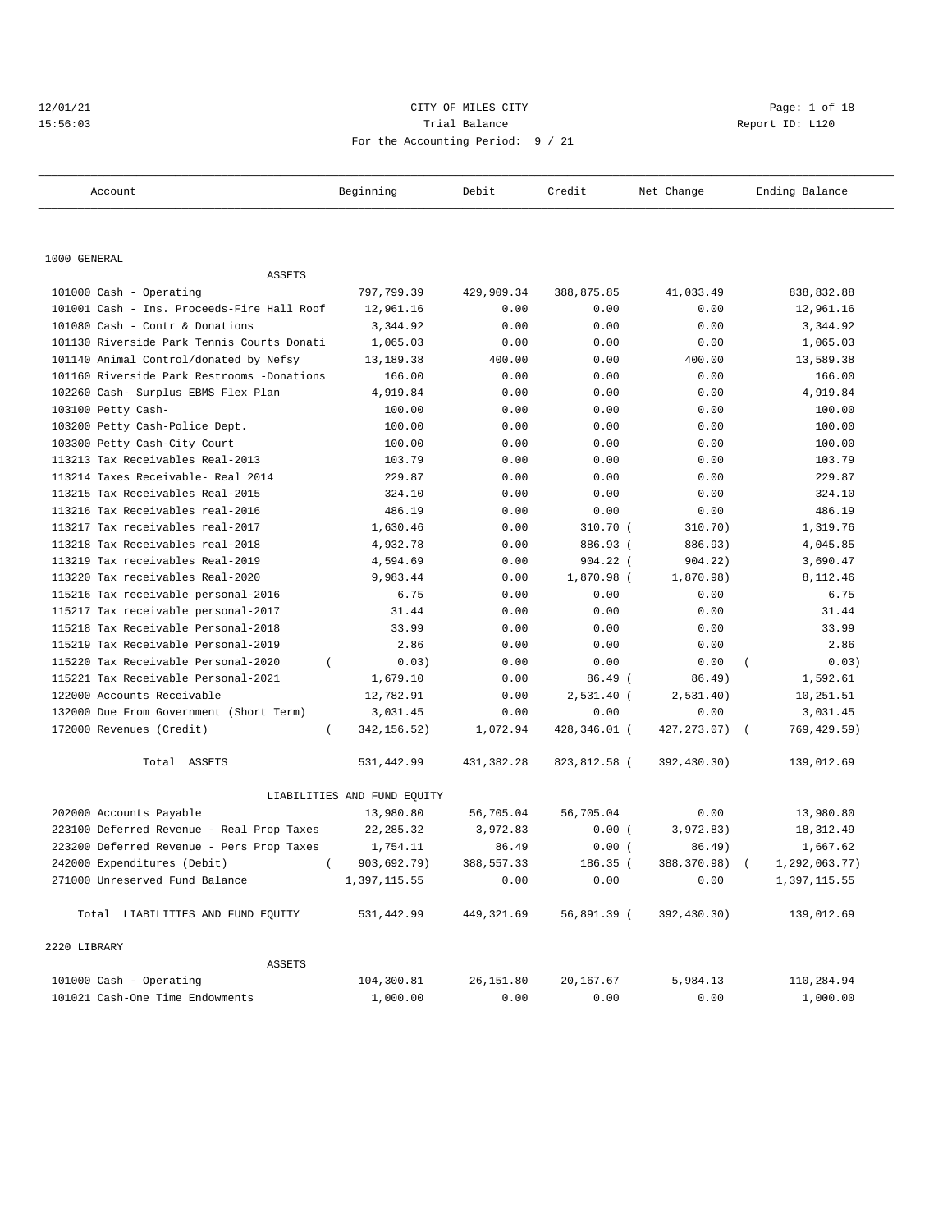# 12/01/21 CITY OF MILES CITY CHARGES CITY CONTROLLER Page: 1 of 18 15:56:03 Trial Balance Report ID: L120 For the Accounting Period: 9 / 21

| Account                                    | Beginning                   | Debit       | Credit       | Net Change   | Ending Balance |
|--------------------------------------------|-----------------------------|-------------|--------------|--------------|----------------|
|                                            |                             |             |              |              |                |
| 1000 GENERAL                               |                             |             |              |              |                |
| <b>ASSETS</b>                              |                             |             |              |              |                |
| 101000 Cash - Operating                    | 797,799.39                  | 429,909.34  | 388,875.85   | 41,033.49    | 838,832.88     |
| 101001 Cash - Ins. Proceeds-Fire Hall Roof | 12,961.16                   | 0.00        | 0.00         | 0.00         | 12,961.16      |
| 101080 Cash - Contr & Donations            | 3,344.92                    | 0.00        | 0.00         | 0.00         | 3,344.92       |
| 101130 Riverside Park Tennis Courts Donati | 1,065.03                    | 0.00        | 0.00         | 0.00         | 1,065.03       |
| 101140 Animal Control/donated by Nefsy     | 13,189.38                   | 400.00      | 0.00         | 400.00       | 13,589.38      |
| 101160 Riverside Park Restrooms -Donations | 166.00                      | 0.00        | 0.00         | 0.00         | 166.00         |
| 102260 Cash- Surplus EBMS Flex Plan        | 4,919.84                    | 0.00        | 0.00         | 0.00         | 4,919.84       |
| 103100 Petty Cash-                         | 100.00                      | 0.00        | 0.00         | 0.00         | 100.00         |
| 103200 Petty Cash-Police Dept.             | 100.00                      | 0.00        | 0.00         | 0.00         | 100.00         |
| 103300 Petty Cash-City Court               | 100.00                      | 0.00        | 0.00         | 0.00         | 100.00         |
| 113213 Tax Receivables Real-2013           | 103.79                      | 0.00        | 0.00         | 0.00         | 103.79         |
| 113214 Taxes Receivable- Real 2014         | 229.87                      | 0.00        | 0.00         | 0.00         | 229.87         |
| 113215 Tax Receivables Real-2015           | 324.10                      | 0.00        | 0.00         | 0.00         | 324.10         |
| 113216 Tax Receivables real-2016           | 486.19                      | 0.00        | 0.00         | 0.00         | 486.19         |
| 113217 Tax receivables real-2017           | 1,630.46                    | 0.00        | 310.70 (     | 310.70)      | 1,319.76       |
| 113218 Tax Receivables real-2018           | 4,932.78                    | 0.00        | 886.93 (     | 886.93)      | 4,045.85       |
| 113219 Tax receivables Real-2019           | 4,594.69                    | 0.00        | 904.22 (     | 904.22)      | 3,690.47       |
| 113220 Tax receivables Real-2020           | 9,983.44                    | 0.00        | 1,870.98 (   | 1,870.98)    | 8,112.46       |
| 115216 Tax receivable personal-2016        | 6.75                        | 0.00        | 0.00         | 0.00         | 6.75           |
| 115217 Tax receivable personal-2017        | 31.44                       | 0.00        | 0.00         | 0.00         | 31.44          |
| 115218 Tax Receivable Personal-2018        | 33.99                       | 0.00        | 0.00         | 0.00         | 33.99          |
| 115219 Tax Receivable Personal-2019        | 2.86                        | 0.00        | 0.00         | 0.00         | 2.86           |
| 115220 Tax Receivable Personal-2020        | 0.03)                       | 0.00        | 0.00         | 0.00         | 0.03)          |
| 115221 Tax Receivable Personal-2021        | 1,679.10                    | 0.00        | $86.49$ (    | 86.49)       | 1,592.61       |
| 122000 Accounts Receivable                 | 12,782.91                   | 0.00        | 2,531.40 (   | 2,531.40)    | 10,251.51      |
| 132000 Due From Government (Short Term)    | 3,031.45                    | 0.00        | 0.00         | 0.00         | 3,031.45       |
| 172000 Revenues (Credit)<br>$\left($       | 342, 156.52)                | 1,072.94    | 428,346.01 ( | 427, 273.07) | 769, 429.59)   |
| Total ASSETS                               | 531,442.99                  | 431,382.28  | 823,812.58 ( | 392,430.30)  | 139,012.69     |
|                                            | LIABILITIES AND FUND EQUITY |             |              |              |                |
| 202000 Accounts Payable                    | 13,980.80                   | 56,705.04   | 56,705.04    | 0.00         | 13,980.80      |
| 223100 Deferred Revenue - Real Prop Taxes  | 22, 285.32                  | 3,972.83    | 0.00(        | 3,972.83)    | 18, 312.49     |
| 223200 Deferred Revenue - Pers Prop Taxes  | 1,754.11                    | 86.49       | 0.00(        | 86.49)       | 1,667.62       |
| 242000 Expenditures (Debit)                | 903,692.79)                 | 388,557.33  | 186.35 (     | 388,370.98)  | 1,292,063.77)  |
| 271000 Unreserved Fund Balance             | 1,397,115.55                | 0.00        | 0.00         | 0.00         | 1,397,115.55   |
| Total LIABILITIES AND FUND EQUITY          | 531,442.99                  | 449, 321.69 | 56,891.39 (  | 392,430.30)  | 139,012.69     |
| 2220 LIBRARY                               |                             |             |              |              |                |
| ASSETS                                     |                             |             |              |              |                |
| 101000 Cash - Operating                    | 104,300.81                  | 26,151.80   | 20,167.67    | 5,984.13     | 110,284.94     |
| 101021 Cash-One Time Endowments            | 1,000.00                    | 0.00        | 0.00         | 0.00         | 1,000.00       |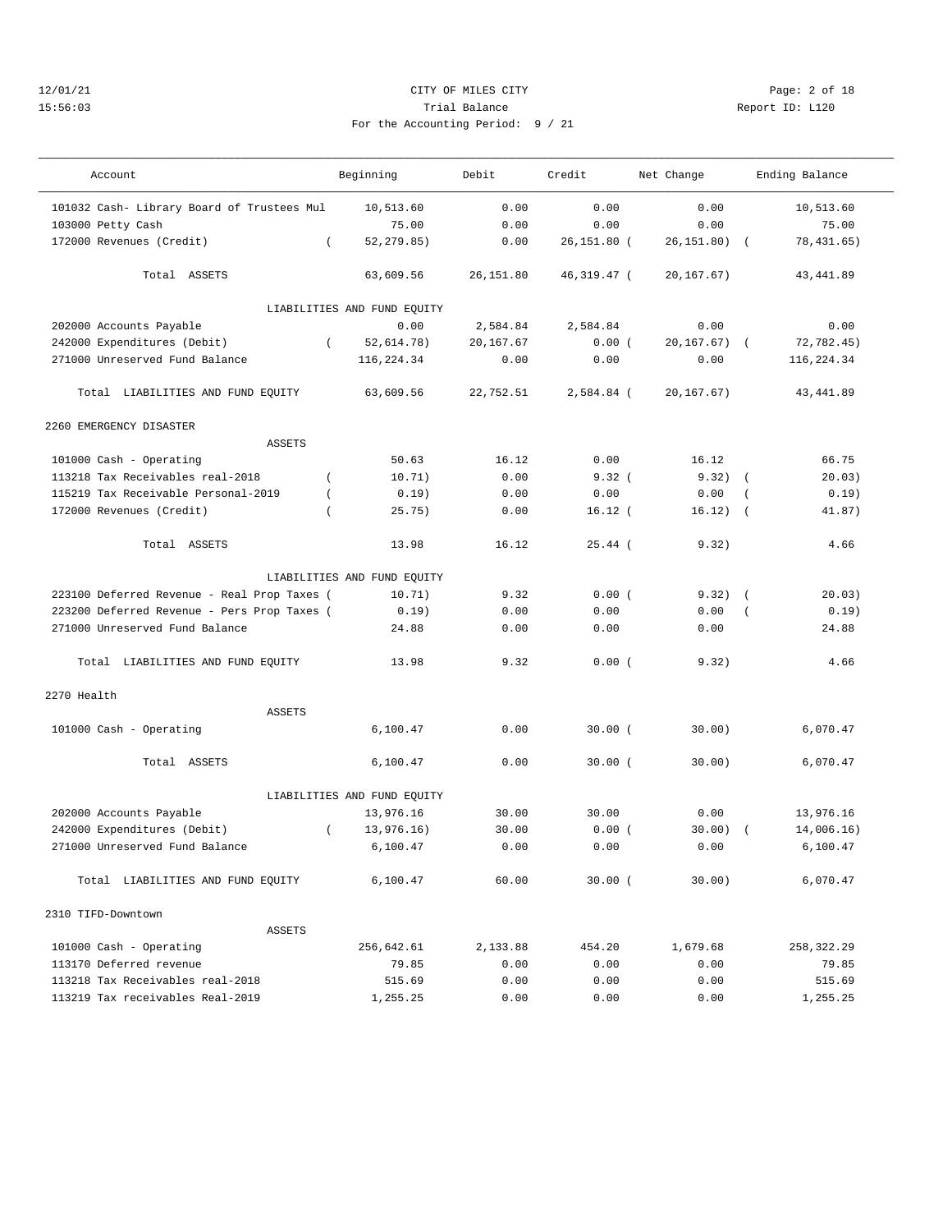# 12/01/21 CITY OF MILES CITY Page: 2 of 18 15:56:03 Trial Balance Report ID: L120 For the Accounting Period: 9 / 21

———————————————————————————————————————————————————————————————————————————————————————————————————————————————————————————————————

| Account                                     |          | Beginning                   | Debit     | Credit      | Net Change      |                | Ending Balance |  |
|---------------------------------------------|----------|-----------------------------|-----------|-------------|-----------------|----------------|----------------|--|
| 101032 Cash- Library Board of Trustees Mul  |          | 10,513.60                   | 0.00      | 0.00        | 0.00            |                | 10,513.60      |  |
| 103000 Petty Cash                           |          | 75.00                       | 0.00      | 0.00        | 0.00            |                | 75.00          |  |
| 172000 Revenues (Credit)                    | $\left($ | 52, 279.85)                 | 0.00      | 26,151.80 ( | $26, 151.80$ (  |                | 78,431.65)     |  |
| Total ASSETS                                |          | 63,609.56                   | 26,151.80 | 46,319.47 ( | 20, 167.67)     |                | 43,441.89      |  |
|                                             |          | LIABILITIES AND FUND EQUITY |           |             |                 |                |                |  |
| 202000 Accounts Payable                     |          | 0.00                        | 2,584.84  | 2,584.84    | 0.00            |                | 0.00           |  |
| 242000 Expenditures (Debit)                 | $\left($ | 52,614.78)                  | 20,167.67 | 0.00(       | $20, 167.67)$ ( |                | 72,782.45)     |  |
| 271000 Unreserved Fund Balance              |          | 116,224.34                  | 0.00      | 0.00        | 0.00            |                | 116,224.34     |  |
| Total LIABILITIES AND FUND EQUITY           |          | 63,609.56                   | 22,752.51 | 2,584.84 (  | 20, 167.67)     |                | 43,441.89      |  |
| 2260 EMERGENCY DISASTER                     |          |                             |           |             |                 |                |                |  |
| ASSETS                                      |          |                             |           |             |                 |                |                |  |
| 101000 Cash - Operating                     |          | 50.63                       | 16.12     | 0.00        | 16.12           |                | 66.75          |  |
| 113218 Tax Receivables real-2018            | $\left($ | 10.71)                      | 0.00      | 9.32(       | $9.32)$ (       |                | 20.03)         |  |
| 115219 Tax Receivable Personal-2019         |          | 0.19)                       | 0.00      | 0.00        | 0.00            | $\left($       | 0.19)          |  |
| 172000 Revenues (Credit)                    |          | 25.75)                      | 0.00      | $16.12$ (   | 16.12)          | $\sqrt{2}$     | 41.87)         |  |
| Total ASSETS                                |          | 13.98                       | 16.12     | $25.44$ (   | 9.32)           |                | 4.66           |  |
|                                             |          | LIABILITIES AND FUND EQUITY |           |             |                 |                |                |  |
| 223100 Deferred Revenue - Real Prop Taxes ( |          | 10.71)                      | 9.32      | 0.00(       | $9.32)$ (       |                | 20.03)         |  |
| 223200 Deferred Revenue - Pers Prop Taxes ( |          | 0.19)                       | 0.00      | 0.00        | 0.00            | $\overline{ }$ | 0.19)          |  |
|                                             |          |                             |           |             |                 |                |                |  |
| 271000 Unreserved Fund Balance              |          | 24.88                       | 0.00      | 0.00        | 0.00            |                | 24.88          |  |
| Total LIABILITIES AND FUND EQUITY           |          | 13.98                       | 9.32      | 0.00(       | 9.32)           |                | 4.66           |  |
| 2270 Health                                 |          |                             |           |             |                 |                |                |  |
| ASSETS                                      |          |                             |           |             |                 |                |                |  |
| 101000 Cash - Operating                     |          | 6,100.47                    | 0.00      | 30.00(      | 30.00)          |                | 6,070.47       |  |
| Total ASSETS                                |          | 6,100.47                    | 0.00      | $30.00$ (   | 30.00)          |                | 6,070.47       |  |
|                                             |          | LIABILITIES AND FUND EQUITY |           |             |                 |                |                |  |
| 202000 Accounts Payable                     |          | 13,976.16                   | 30.00     | 30.00       | 0.00            |                | 13,976.16      |  |
| 242000 Expenditures (Debit)                 | $\left($ | 13,976.16)                  | 30.00     | 0.00(       | 30.00)          | $\sqrt{2}$     | 14,006.16)     |  |
| 271000 Unreserved Fund Balance              |          | 6,100.47                    | 0.00      | 0.00        | 0.00            |                | 6,100.47       |  |
| Total LIABILITIES AND FUND EQUITY           |          | 6,100.47                    | 60.00     | $30.00$ (   | 30.00)          |                | 6,070.47       |  |
| 2310 TIFD-Downtown                          |          |                             |           |             |                 |                |                |  |
| ASSETS                                      |          |                             |           |             |                 |                |                |  |
| 101000 Cash - Operating                     |          | 256,642.61                  | 2,133.88  | 454.20      | 1,679.68        |                | 258,322.29     |  |
| 113170 Deferred revenue                     |          | 79.85                       | 0.00      | 0.00        | 0.00            |                | 79.85          |  |
| 113218 Tax Receivables real-2018            |          | 515.69                      | 0.00      | 0.00        | 0.00            |                | 515.69         |  |
| 113219 Tax receivables Real-2019            |          | 1,255.25                    | 0.00      | 0.00        | 0.00            |                | 1,255.25       |  |
|                                             |          |                             |           |             |                 |                |                |  |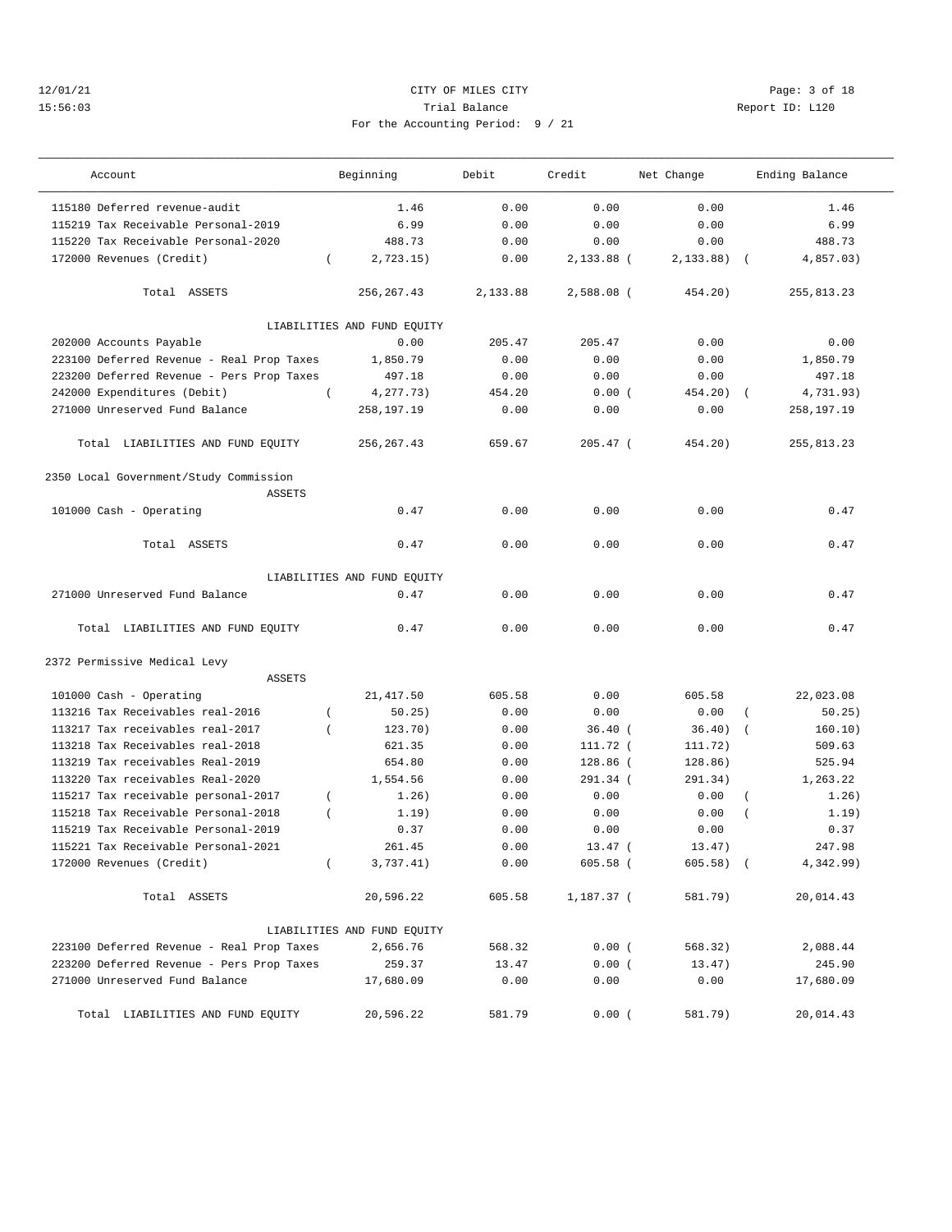## 12/01/21 CITY OF MILES CITY Page: 3 of 18 15:56:03 Trial Balance Report ID: L120 For the Accounting Period: 9 / 21

| Account                                                 | Beginning                   | Debit    | Credit                  | Net Change              | Ending Balance            |
|---------------------------------------------------------|-----------------------------|----------|-------------------------|-------------------------|---------------------------|
| 115180 Deferred revenue-audit                           | 1.46                        | 0.00     | 0.00                    | 0.00                    | 1.46                      |
| 115219 Tax Receivable Personal-2019                     | 6.99                        | 0.00     | 0.00                    | 0.00                    | 6.99                      |
| 115220 Tax Receivable Personal-2020                     | 488.73                      | 0.00     | 0.00                    | 0.00                    | 488.73                    |
| 172000 Revenues (Credit)                                | 2,723.15)<br>$\left($       | 0.00     | 2,133.88 (              | 2,133.88)<br>$\sqrt{2}$ | 4,857.03)                 |
| Total ASSETS                                            | 256, 267.43                 | 2,133.88 | 2,588.08 (              | 454.20)                 | 255,813.23                |
|                                                         | LIABILITIES AND FUND EQUITY |          |                         |                         |                           |
| 202000 Accounts Payable                                 | 0.00                        | 205.47   | 205.47                  | 0.00                    | 0.00                      |
| 223100 Deferred Revenue - Real Prop Taxes               | 1,850.79                    | 0.00     | 0.00                    | 0.00                    | 1,850.79                  |
| 223200 Deferred Revenue - Pers Prop Taxes               | 497.18                      | 0.00     | 0.00                    | 0.00                    | 497.18                    |
| 242000 Expenditures (Debit)<br>$\left($                 | 4,277.73)                   | 454.20   | 0.00(                   | 454.20)                 | 4,731.93)                 |
| 271000 Unreserved Fund Balance                          | 258,197.19                  | 0.00     | 0.00                    | 0.00                    | 258,197.19                |
| Total LIABILITIES AND FUND EQUITY                       | 256, 267.43                 | 659.67   | $205.47$ (              | 454.20)                 | 255,813.23                |
| 2350 Local Government/Study Commission<br><b>ASSETS</b> |                             |          |                         |                         |                           |
| 101000 Cash - Operating                                 | 0.47                        | 0.00     | 0.00                    | 0.00                    | 0.47                      |
| Total ASSETS                                            | 0.47                        | 0.00     | 0.00                    | 0.00                    | 0.47                      |
|                                                         | LIABILITIES AND FUND EQUITY |          |                         |                         |                           |
| 271000 Unreserved Fund Balance                          | 0.47                        | 0.00     | 0.00                    | 0.00                    | 0.47                      |
| Total LIABILITIES AND FUND EQUITY                       | 0.47                        | 0.00     | 0.00                    | 0.00                    | 0.47                      |
| 2372 Permissive Medical Levy<br><b>ASSETS</b>           |                             |          |                         |                         |                           |
| 101000 Cash - Operating                                 | 21, 417.50                  | 605.58   | 0.00                    | 605.58                  | 22,023.08                 |
| 113216 Tax Receivables real-2016<br>$\overline{ }$      | 50.25)                      | 0.00     | 0.00                    | 0.00                    | 50.25)                    |
| 113217 Tax receivables real-2017<br>$\overline{ }$      | 123.70)                     | 0.00     | $36.40$ (               | 36.40)                  | 160.10)                   |
| 113218 Tax Receivables real-2018                        | 621.35                      | 0.00     | 111.72 (                | 111.72)                 | 509.63                    |
| 113219 Tax receivables Real-2019                        | 654.80                      | 0.00     | 128.86 (                | 128.86)                 | 525.94                    |
| 113220 Tax receivables Real-2020                        | 1,554.56                    | 0.00     | 291.34 (                | 291.34)                 | 1,263.22                  |
| 115217 Tax receivable personal-2017<br>$\overline{ }$   | 1.26)                       | 0.00     | 0.00                    | 0.00                    | 1.26)<br>$\overline{(\ }$ |
| 115218 Tax Receivable Personal-2018<br>$\left($         | 1.19)                       | 0.00     | 0.00                    | 0.00                    | 1.19)                     |
| 115219 Tax Receivable Personal-2019                     | 0.37                        | 0.00     | 0.00                    | 0.00                    | 0.37                      |
| 115221 Tax Receivable Personal-2021                     | 261.45                      | 0.00     |                         | 13.47)                  | 247.98                    |
| 172000 Revenues (Credit)                                | 3,737.41)<br>$\left($       | 0.00     | $13.47$ (<br>$605.58$ ( | $605.58$ (              | 4,342.99)                 |
|                                                         |                             |          |                         |                         |                           |
| Total ASSETS                                            | 20,596.22                   | 605.58   | 1,187.37 (              | 581.79)                 | 20,014.43                 |
|                                                         | LIABILITIES AND FUND EQUITY |          |                         |                         |                           |
| 223100 Deferred Revenue - Real Prop Taxes               | 2,656.76                    | 568.32   | 0.00(                   | 568.32)                 | 2,088.44                  |
| 223200 Deferred Revenue - Pers Prop Taxes               | 259.37                      | 13.47    | 0.00(                   | 13.47)                  | 245.90                    |
| 271000 Unreserved Fund Balance                          | 17,680.09                   | 0.00     | 0.00                    | 0.00                    | 17,680.09                 |
| Total LIABILITIES AND FUND EQUITY                       | 20,596.22                   | 581.79   | 0.00(                   | 581.79)                 | 20,014.43                 |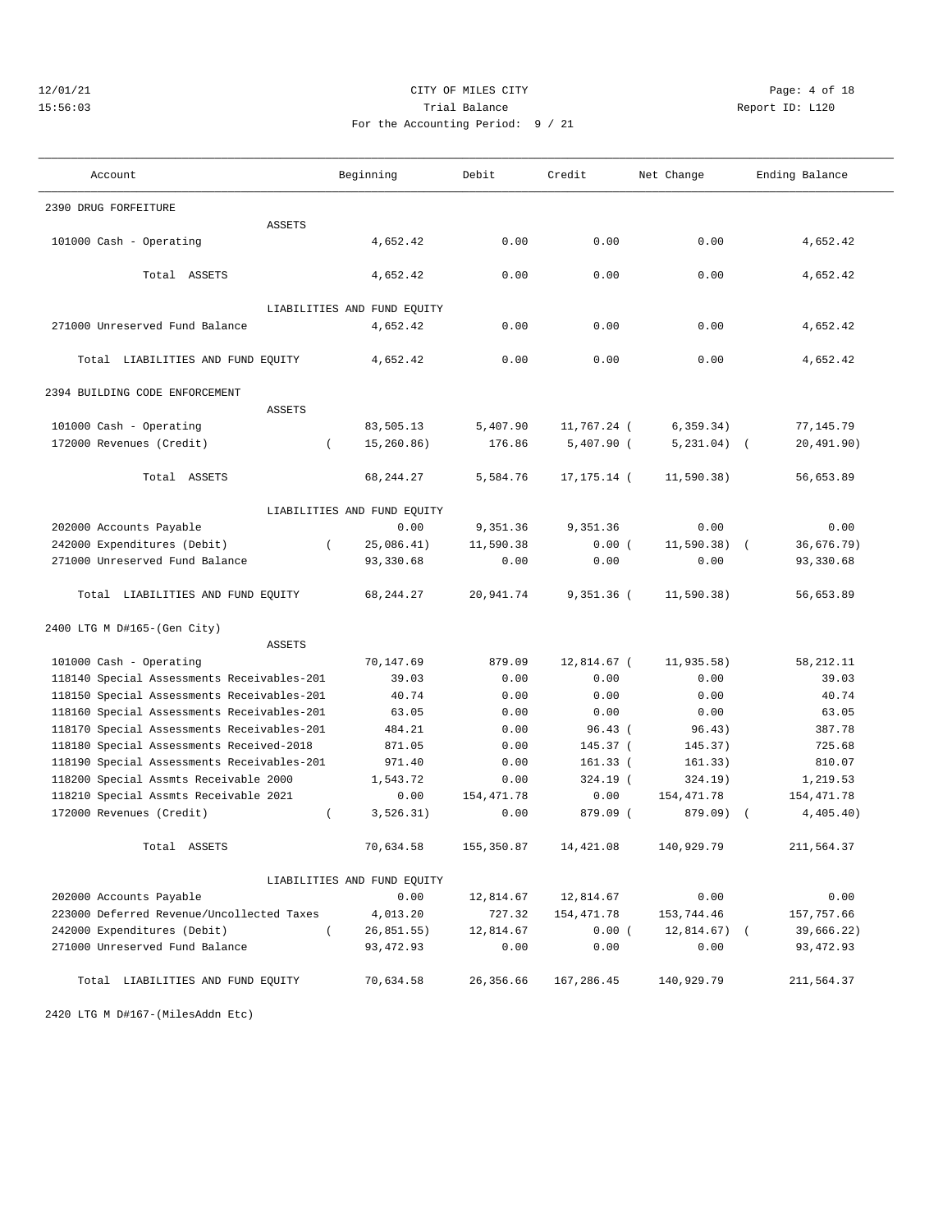## 12/01/21 CITY OF MILES CITY Page: 4 of 18 15:56:03 Trial Balance Report ID: L120 For the Accounting Period: 9 / 21

| Account                                    |          | Beginning                   | Debit      | Credit        | Net Change    | Ending Balance         |
|--------------------------------------------|----------|-----------------------------|------------|---------------|---------------|------------------------|
| 2390 DRUG FORFEITURE                       |          |                             |            |               |               |                        |
| <b>ASSETS</b>                              |          |                             |            |               |               |                        |
| 101000 Cash - Operating                    |          | 4,652.42                    | 0.00       | 0.00          | 0.00          | 4,652.42               |
| Total ASSETS                               |          | 4,652.42                    | 0.00       | 0.00          | 0.00          | 4,652.42               |
|                                            |          | LIABILITIES AND FUND EQUITY |            |               |               |                        |
| 271000 Unreserved Fund Balance             |          | 4,652.42                    | 0.00       | 0.00          | 0.00          | 4,652.42               |
|                                            |          |                             |            |               |               |                        |
| Total LIABILITIES AND FUND EQUITY          |          | 4,652.42                    | 0.00       | 0.00          | 0.00          | 4,652.42               |
| 2394 BUILDING CODE ENFORCEMENT             |          |                             |            |               |               |                        |
| <b>ASSETS</b>                              |          |                             |            |               |               |                        |
| 101000 Cash - Operating                    |          | 83,505.13                   | 5,407.90   | 11,767.24 (   | 6, 359.34)    | 77,145.79              |
| 172000 Revenues (Credit)                   | $\left($ | 15,260.86)                  | 176.86     | $5,407.90$ (  | 5, 231.04)    | 20,491.90)<br>$\left($ |
| Total ASSETS                               |          | 68, 244. 27                 | 5,584.76   | 17, 175. 14 ( | 11, 590.38)   | 56,653.89              |
|                                            |          | LIABILITIES AND FUND EQUITY |            |               |               |                        |
| 202000 Accounts Payable                    |          | 0.00                        | 9,351.36   | 9,351.36      | 0.00          | 0.00                   |
| 242000 Expenditures (Debit)                | $\left($ | 25,086.41)                  | 11,590.38  | 0.00(         | 11,590.38)    | 36,676.79)             |
| 271000 Unreserved Fund Balance             |          | 93,330.68                   | 0.00       | 0.00          | 0.00          | 93,330.68              |
|                                            |          |                             |            |               |               |                        |
| Total LIABILITIES AND FUND EQUITY          |          | 68, 244. 27                 | 20,941.74  | $9,351.36$ (  | 11,590.38)    | 56,653.89              |
| 2400 LTG M D#165-(Gen City)                |          |                             |            |               |               |                        |
| <b>ASSETS</b>                              |          |                             |            |               |               |                        |
| 101000 Cash - Operating                    |          | 70,147.69                   | 879.09     | 12,814.67 (   | 11,935.58)    | 58,212.11              |
| 118140 Special Assessments Receivables-201 |          | 39.03                       | 0.00       | 0.00          | 0.00          | 39.03                  |
| 118150 Special Assessments Receivables-201 |          | 40.74                       | 0.00       | 0.00          | 0.00          | 40.74                  |
| 118160 Special Assessments Receivables-201 |          | 63.05                       | 0.00       | 0.00          | 0.00          | 63.05                  |
| 118170 Special Assessments Receivables-201 |          | 484.21                      | 0.00       | 96.43(        | 96.43)        | 387.78                 |
| 118180 Special Assessments Received-2018   |          | 871.05                      | 0.00       | 145.37 (      | 145.37)       | 725.68                 |
| 118190 Special Assessments Receivables-201 |          | 971.40                      | 0.00       | $161.33$ (    | 161.33)       | 810.07                 |
| 118200 Special Assmts Receivable 2000      |          | 1,543.72                    | 0.00       | 324.19 (      | 324.19)       | 1,219.53               |
| 118210 Special Assmts Receivable 2021      |          | 0.00                        | 154,471.78 | 0.00          | 154, 471.78   | 154,471.78             |
| 172000 Revenues (Credit)                   | $\left($ | 3, 526.31)                  | 0.00       | 879.09 (      | 879.09)       | 4,405.40)              |
| Total ASSETS                               |          | 70,634.58                   | 155,350.87 | 14, 421.08    | 140,929.79    | 211,564.37             |
|                                            |          | LIABILITIES AND FUND EQUITY |            |               |               |                        |
| 202000 Accounts Payable                    |          | 0.00                        | 12,814.67  | 12,814.67     | 0.00          | 0.00                   |
| 223000 Deferred Revenue/Uncollected Taxes  |          | 4,013.20                    | 727.32     | 154,471.78    | 153,744.46    | 157,757.66             |
| 242000 Expenditures (Debit)                | $\left($ | 26,851.55)                  | 12,814.67  | 0.00(         | $12,814.67$ ( | 39,666.22)             |
| 271000 Unreserved Fund Balance             |          | 93, 472.93                  | 0.00       | 0.00          | 0.00          | 93, 472.93             |
| Total LIABILITIES AND FUND EQUITY          |          | 70,634.58                   | 26,356.66  | 167,286.45    | 140,929.79    | 211,564.37             |
| 2420 LTG M D#167-(MilesAddn Etc)           |          |                             |            |               |               |                        |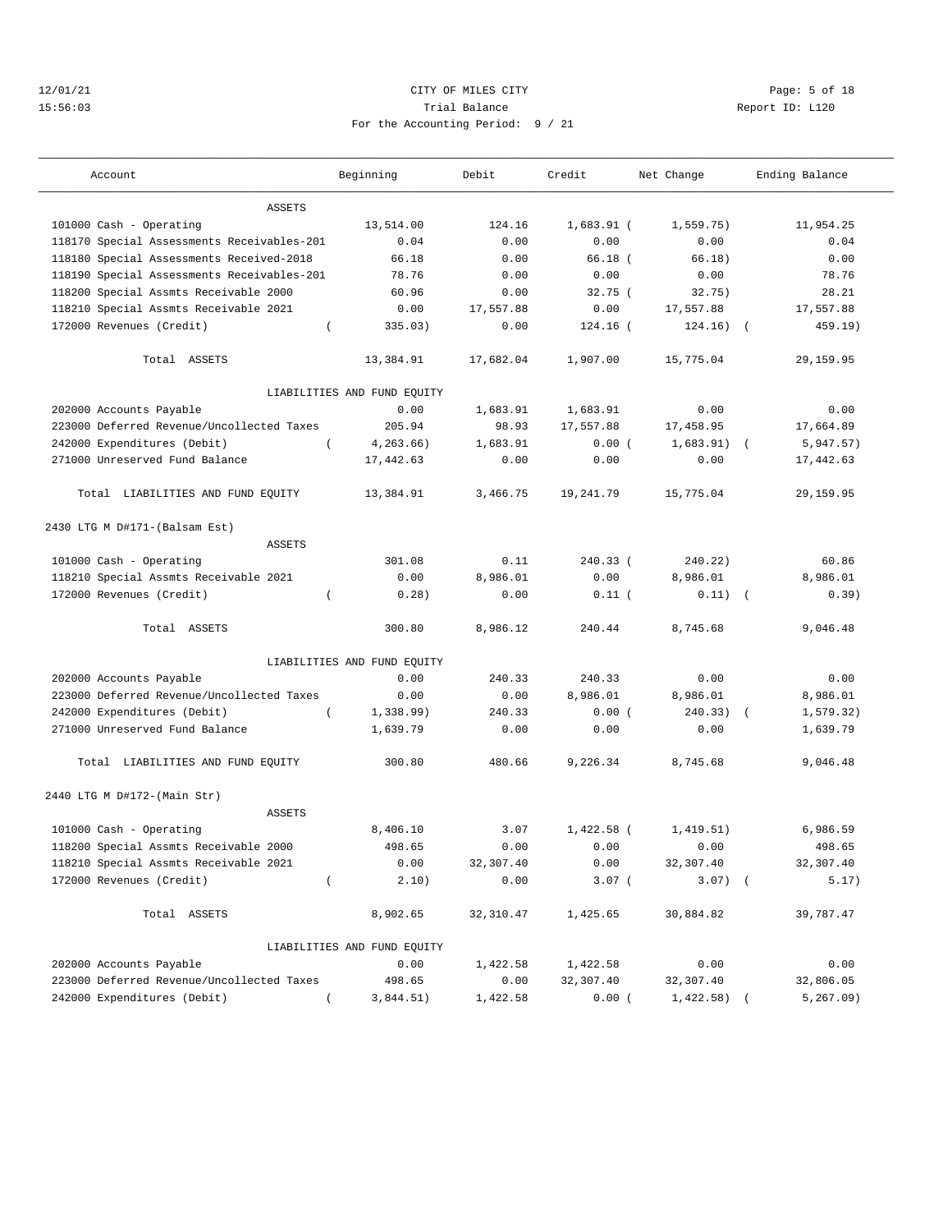## 12/01/21 CITY OF MILES CITY Page: 5 of 18 15:56:03 Trial Balance Report ID: L120 For the Accounting Period: 9 / 21

———————————————————————————————————————————————————————————————————————————————————————————————————————————————————————————————————

| Account                                    | Beginning                   | Debit     | Credit       | Net Change    | Ending Balance           |
|--------------------------------------------|-----------------------------|-----------|--------------|---------------|--------------------------|
| ASSETS                                     |                             |           |              |               |                          |
| 101000 Cash - Operating                    | 13,514.00                   | 124.16    | $1,683.91$ ( | 1,559.75)     | 11,954.25                |
| 118170 Special Assessments Receivables-201 | 0.04                        | 0.00      | 0.00         | 0.00          | 0.04                     |
| 118180 Special Assessments Received-2018   | 66.18                       | 0.00      | $66.18$ (    | 66.18)        | 0.00                     |
| 118190 Special Assessments Receivables-201 | 78.76                       | 0.00      | 0.00         | 0.00          | 78.76                    |
| 118200 Special Assmts Receivable 2000      | 60.96                       | 0.00      | 32.75(       | 32.75)        | 28.21                    |
| 118210 Special Assmts Receivable 2021      | 0.00                        | 17,557.88 | 0.00         | 17,557.88     | 17,557.88                |
| 172000 Revenues (Credit)<br>$\left($       | 335.03)                     | 0.00      | 124.16 (     | 124.16)       | 459.19)<br>$\sqrt{2}$    |
| Total ASSETS                               | 13,384.91                   | 17,682.04 | 1,907.00     | 15,775.04     | 29,159.95                |
|                                            | LIABILITIES AND FUND EQUITY |           |              |               |                          |
| 202000 Accounts Payable                    | 0.00                        | 1,683.91  | 1,683.91     | 0.00          | 0.00                     |
| 223000 Deferred Revenue/Uncollected Taxes  | 205.94                      | 98.93     | 17,557.88    | 17,458.95     | 17,664.89                |
| 242000 Expenditures (Debit)<br>$\left($    | 4,263.66)                   | 1,683.91  | 0.00(        | $1,683.91)$ ( | 5,947.57)                |
| 271000 Unreserved Fund Balance             | 17,442.63                   | 0.00      | 0.00         | 0.00          | 17,442.63                |
| Total LIABILITIES AND FUND EQUITY          | 13,384.91                   | 3,466.75  | 19,241.79    | 15,775.04     | 29,159.95                |
| 2430 LTG M D#171-(Balsam Est)              |                             |           |              |               |                          |
| <b>ASSETS</b>                              |                             |           |              |               |                          |
| 101000 Cash - Operating                    | 301.08                      | 0.11      | 240.33 (     | 240.22)       | 60.86                    |
| 118210 Special Assmts Receivable 2021      | 0.00                        | 8,986.01  | 0.00         | 8,986.01      | 8,986.01                 |
| 172000 Revenues (Credit)<br>$\left($       | 0.28)                       | 0.00      | 0.11(        | $0.11)$ (     | 0.39)                    |
| Total ASSETS                               | 300.80                      | 8,986.12  | 240.44       | 8,745.68      | 9,046.48                 |
|                                            | LIABILITIES AND FUND EQUITY |           |              |               |                          |
| 202000 Accounts Payable                    | 0.00                        | 240.33    | 240.33       | 0.00          | 0.00                     |
| 223000 Deferred Revenue/Uncollected Taxes  | 0.00                        | 0.00      | 8,986.01     | 8,986.01      | 8,986.01                 |
| 242000 Expenditures (Debit)<br>$\left($    | 1,338.99)                   | 240.33    | 0.00(        | 240.33)       | 1, 579.32)<br>$\sqrt{ }$ |
| 271000 Unreserved Fund Balance             | 1,639.79                    | 0.00      | 0.00         | 0.00          | 1,639.79                 |
| Total LIABILITIES AND FUND EQUITY          | 300.80                      | 480.66    | 9,226.34     | 8,745.68      | 9,046.48                 |
| 2440 LTG M D#172-(Main Str)                |                             |           |              |               |                          |
| <b>ASSETS</b>                              |                             |           |              |               |                          |
| 101000 Cash - Operating                    | 8,406.10                    | 3.07      | $1,422.58$ ( | 1,419.51)     | 6,986.59                 |
| 118200 Special Assmts Receivable 2000      | 498.65                      | 0.00      | 0.00         | 0.00          | 498.65                   |
| 118210 Special Assmts Receivable 2021      | 0.00                        | 32,307.40 | 0.00         | 32,307.40     | 32,307.40                |
| 172000 Revenues (Credit)<br>$\left($       | 2.10)                       | 0.00      | $3.07$ (     | $3.07)$ (     | 5.17)                    |
| Total ASSETS                               | 8,902.65                    | 32,310.47 | 1,425.65     | 30,884.82     | 39,787.47                |
|                                            | LIABILITIES AND FUND EQUITY |           |              |               |                          |
| 202000 Accounts Payable                    | 0.00                        | 1,422.58  | 1,422.58     | 0.00          | 0.00                     |
| 223000 Deferred Revenue/Uncollected Taxes  | 498.65                      | 0.00      | 32,307.40    | 32,307.40     | 32,806.05                |
| 242000 Expenditures (Debit)                | 3,844.51)                   | 1,422.58  | 0.00(        | 1,422.58)     | 5, 267.09)               |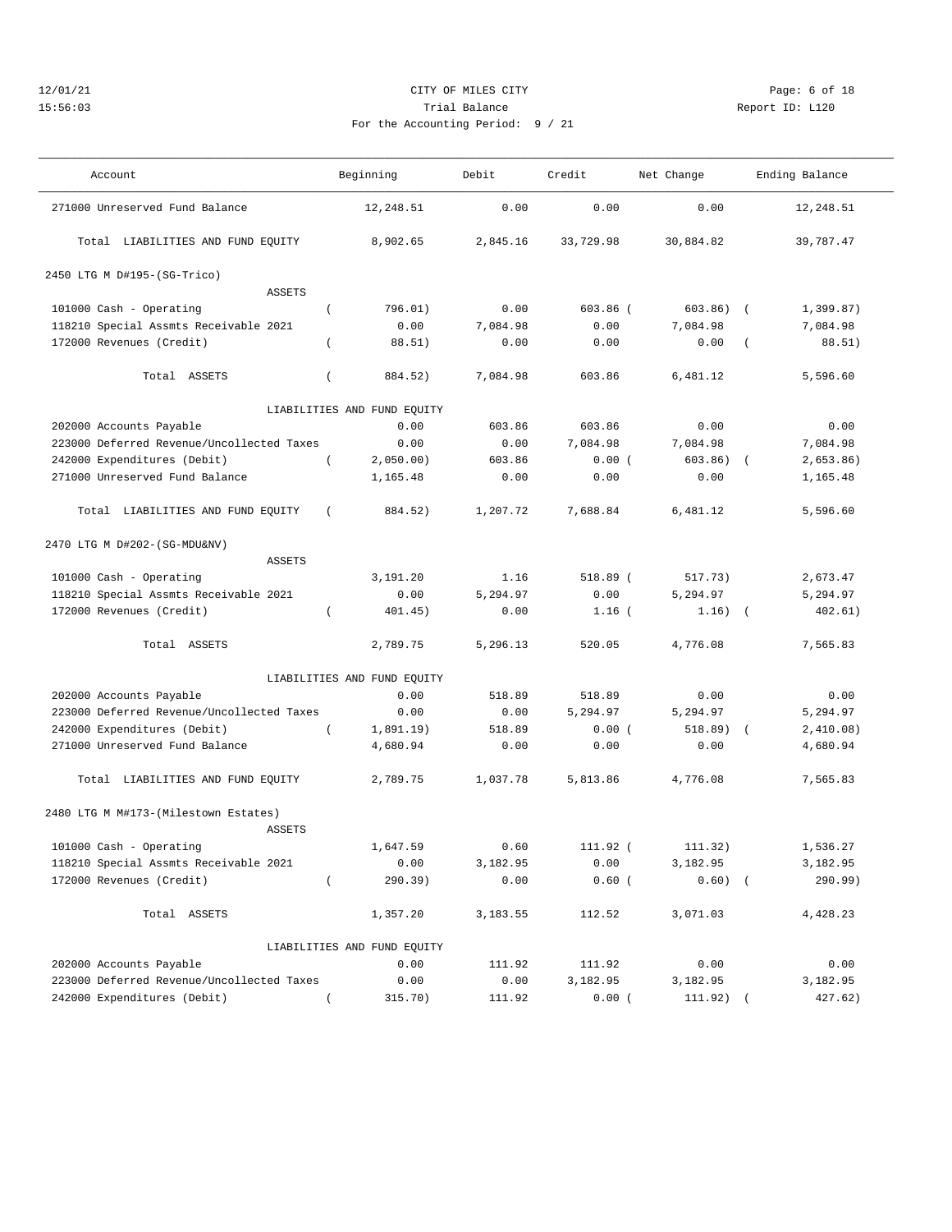# 12/01/21 CITY OF MILES CITY Page: 6 of 18 15:56:03 Trial Balance Report ID: L120 For the Accounting Period: 9 / 21

| Account                                   |                | Beginning                   | Debit    | Credit     | Net Change |                      | Ending Balance |
|-------------------------------------------|----------------|-----------------------------|----------|------------|------------|----------------------|----------------|
| 271000 Unreserved Fund Balance            |                | 12,248.51                   | 0.00     | 0.00       | 0.00       |                      | 12,248.51      |
| Total LIABILITIES AND FUND EQUITY         |                | 8,902.65                    | 2,845.16 | 33,729.98  | 30,884.82  |                      | 39,787.47      |
| 2450 LTG M D#195-(SG-Trico)               |                |                             |          |            |            |                      |                |
| <b>ASSETS</b>                             |                |                             |          |            |            |                      |                |
| 101000 Cash - Operating                   | $\overline{ }$ | 796.01)                     | 0.00     | $603.86$ ( | 603.86)    | $\sqrt{2}$           | 1,399.87)      |
| 118210 Special Assmts Receivable 2021     |                | 0.00                        | 7,084.98 | 0.00       | 7.084.98   |                      | 7,084.98       |
| 172000 Revenues (Credit)                  | $\left($       | 88.51)                      | 0.00     | 0.00       | 0.00       | $\overline{(\cdot)}$ | 88.51)         |
| Total ASSETS                              | $\left($       | 884.52)                     | 7,084.98 | 603.86     | 6,481.12   |                      | 5,596.60       |
|                                           |                | LIABILITIES AND FUND EQUITY |          |            |            |                      |                |
| 202000 Accounts Payable                   |                | 0.00                        | 603.86   | 603.86     | 0.00       |                      | 0.00           |
| 223000 Deferred Revenue/Uncollected Taxes |                | 0.00                        | 0.00     | 7,084.98   | 7,084.98   |                      | 7,084.98       |
| 242000 Expenditures (Debit)               | $\overline{ }$ | 2,050.00)                   | 603.86   | 0.00(      | 603.86)    | $\sqrt{2}$           | 2,653.86)      |
| 271000 Unreserved Fund Balance            |                | 1,165.48                    | 0.00     | 0.00       | 0.00       |                      | 1,165.48       |
| Total LIABILITIES AND FUND EQUITY         | $\left($       | 884.52)                     | 1,207.72 | 7,688.84   | 6,481.12   |                      | 5,596.60       |
| 2470 LTG M D#202-(SG-MDU&NV)              |                |                             |          |            |            |                      |                |
| ASSETS                                    |                |                             |          |            |            |                      |                |
| 101000 Cash - Operating                   |                | 3,191.20                    | 1.16     | 518.89 (   | 517.73)    |                      | 2,673.47       |
| 118210 Special Assmts Receivable 2021     |                | 0.00                        | 5,294.97 | 0.00       | 5,294.97   |                      | 5,294.97       |
| 172000 Revenues (Credit)                  | $\left($       | 401.45)                     | 0.00     | $1.16$ (   | 1.16)      | $\sqrt{2}$           | 402.61)        |
| Total ASSETS                              |                | 2,789.75                    | 5,296.13 | 520.05     | 4,776.08   |                      | 7,565.83       |
|                                           |                | LIABILITIES AND FUND EQUITY |          |            |            |                      |                |
| 202000 Accounts Payable                   |                | 0.00                        | 518.89   | 518.89     | 0.00       |                      | 0.00           |
| 223000 Deferred Revenue/Uncollected Taxes |                | 0.00                        | 0.00     | 5,294.97   | 5,294.97   |                      | 5,294.97       |
| 242000 Expenditures (Debit)               | $\left($       | 1,891.19)                   | 518.89   | 0.00(      | 518.89)    | $\sqrt{2}$           | 2,410.08)      |
| 271000 Unreserved Fund Balance            |                | 4,680.94                    | 0.00     | 0.00       | 0.00       |                      | 4,680.94       |
| Total LIABILITIES AND FUND EQUITY         |                | 2,789.75                    | 1,037.78 | 5,813.86   | 4,776.08   |                      | 7,565.83       |
| 2480 LTG M M#173-(Milestown Estates)      |                |                             |          |            |            |                      |                |
| <b>ASSETS</b>                             |                |                             |          |            |            |                      |                |
| 101000 Cash - Operating                   |                | 1,647.59                    | 0.60     | 111.92 (   | 111.32)    |                      | 1,536.27       |
| 118210 Special Assmts Receivable 2021     |                | 0.00                        | 3,182.95 | 0.00       | 3,182.95   |                      | 3,182.95       |
| 172000 Revenues (Credit)                  | $\left($       | 290.39)                     | 0.00     | $0.60$ (   | $0.60)$ (  |                      | 290.99)        |
| Total ASSETS                              |                | 1,357.20                    | 3,183.55 | 112.52     | 3,071.03   |                      | 4,428.23       |
|                                           |                | LIABILITIES AND FUND EQUITY |          |            |            |                      |                |
| 202000 Accounts Payable                   |                | 0.00                        | 111.92   | 111.92     | 0.00       |                      | 0.00           |
| 223000 Deferred Revenue/Uncollected Taxes |                | 0.00                        | 0.00     | 3,182.95   | 3,182.95   |                      | 3,182.95       |
| 242000 Expenditures (Debit)               |                | 315.70)                     | 111.92   | 0.00       | 111.92)    |                      | 427.62)        |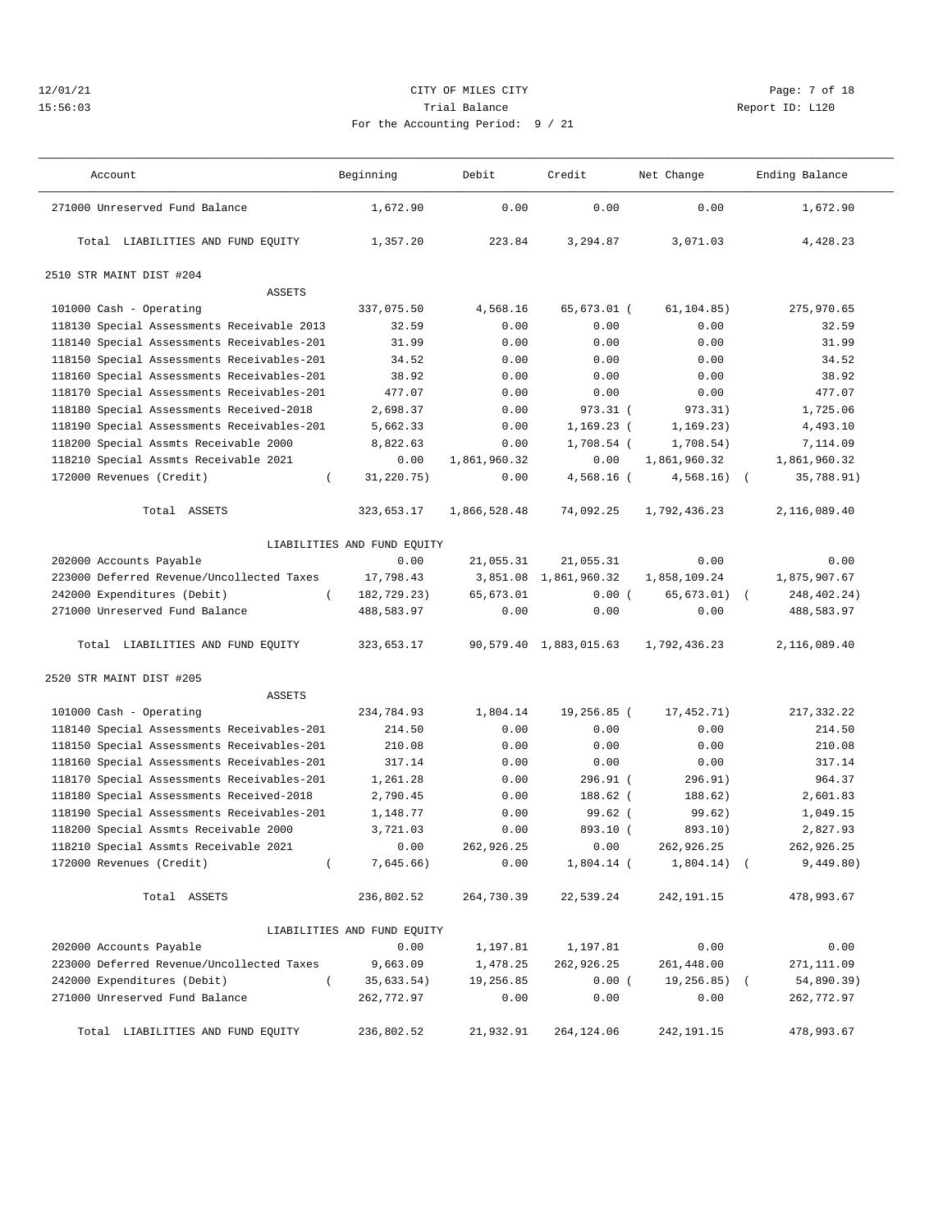## 12/01/21 CITY OF MILES CITY Page: 7 of 18 15:56:03 Trial Balance Report ID: L120 For the Accounting Period: 9 / 21

——————————————————————————————————————————————————————————————————————————————————————————————————————————————————————————————————— Account and Beginning Debit Credit Net Change Ending Balance

| $\sqrt{2}$ |  |  |  |
|------------|--|--|--|

| 271000 Unreserved Fund Balance             | 1,672.90                    | 0.00         | 0.00                   | 0.00         | 1,672.90     |  |
|--------------------------------------------|-----------------------------|--------------|------------------------|--------------|--------------|--|
| Total LIABILITIES AND FUND EQUITY          | 1,357.20                    | 223.84       | 3,294.87               | 3,071.03     | 4,428.23     |  |
| 2510 STR MAINT DIST #204                   |                             |              |                        |              |              |  |
| ASSETS                                     |                             |              |                        |              |              |  |
| 101000 Cash - Operating                    | 337,075.50                  | 4,568.16     | 65,673.01 (            | 61, 104.85)  | 275,970.65   |  |
| 118130 Special Assessments Receivable 2013 | 32.59                       | 0.00         | 0.00                   | 0.00         | 32.59        |  |
| 118140 Special Assessments Receivables-201 | 31.99                       | 0.00         | 0.00                   | 0.00         | 31.99        |  |
| 118150 Special Assessments Receivables-201 | 34.52                       | 0.00         | 0.00                   | 0.00         | 34.52        |  |
| 118160 Special Assessments Receivables-201 | 38.92                       | 0.00         | 0.00                   | 0.00         | 38.92        |  |
| 118170 Special Assessments Receivables-201 | 477.07                      | 0.00         | 0.00                   | 0.00         | 477.07       |  |
| 118180 Special Assessments Received-2018   | 2,698.37                    | 0.00         | $973.31$ (             | 973.31)      | 1,725.06     |  |
| 118190 Special Assessments Receivables-201 | 5,662.33                    | 0.00         | $1,169.23$ (           | 1, 169.23)   | 4,493.10     |  |
| 118200 Special Assmts Receivable 2000      | 8,822.63                    | 0.00         | $1,708.54$ (           | 1,708.54)    | 7,114.09     |  |
| 118210 Special Assmts Receivable 2021      | 0.00                        | 1,861,960.32 | 0.00                   | 1,861,960.32 | 1,861,960.32 |  |
| 172000 Revenues (Credit)<br>$\left($       | 31,220.75)                  | 0.00         | $4,568.16$ (           | $4,568.16$ ( | 35,788.91)   |  |
| Total ASSETS                               | 323,653.17                  | 1,866,528.48 | 74,092.25              | 1,792,436.23 | 2,116,089.40 |  |
|                                            | LIABILITIES AND FUND EQUITY |              |                        |              |              |  |
| 202000 Accounts Payable                    | 0.00                        | 21,055.31    | 21,055.31              | 0.00         | 0.00         |  |
| 223000 Deferred Revenue/Uncollected Taxes  | 17,798.43                   |              | 3,851.08 1,861,960.32  | 1,858,109.24 | 1,875,907.67 |  |
| 242000 Expenditures (Debit)<br>$\left($    | 182,729.23)                 | 65,673.01    | 0.00(                  | 65,673.01)   | 248,402.24)  |  |
| 271000 Unreserved Fund Balance             | 488,583.97                  | 0.00         | 0.00                   | 0.00         | 488,583.97   |  |
| Total LIABILITIES AND FUND EQUITY          | 323,653.17                  |              | 90,579.40 1,883,015.63 | 1,792,436.23 | 2,116,089.40 |  |
| 2520 STR MAINT DIST #205                   |                             |              |                        |              |              |  |
| <b>ASSETS</b>                              |                             |              |                        |              |              |  |
| 101000 Cash - Operating                    | 234,784.93                  | 1,804.14     | 19,256.85 (            | 17,452.71)   | 217,332.22   |  |
| 118140 Special Assessments Receivables-201 | 214.50                      | 0.00         | 0.00                   | 0.00         | 214.50       |  |
| 118150 Special Assessments Receivables-201 | 210.08                      | 0.00         | 0.00                   | 0.00         | 210.08       |  |
| 118160 Special Assessments Receivables-201 | 317.14                      | 0.00         | 0.00                   | 0.00         | 317.14       |  |
| 118170 Special Assessments Receivables-201 | 1,261.28                    | 0.00         | 296.91 (               | 296.91)      | 964.37       |  |
| 118180 Special Assessments Received-2018   | 2,790.45                    | 0.00         | 188.62 (               | 188.62)      | 2,601.83     |  |
| 118190 Special Assessments Receivables-201 | 1,148.77                    | 0.00         | $99.62$ (              | 99.62)       | 1,049.15     |  |
| 118200 Special Assmts Receivable 2000      | 3,721.03                    | 0.00         | 893.10 (               | 893.10)      | 2,827.93     |  |
| 118210 Special Assmts Receivable 2021      | 0.00                        | 262,926.25   | 0.00                   | 262,926.25   | 262,926.25   |  |
| 172000 Revenues (Credit)<br>$\left($       | 7,645.66)                   | 0.00         | $1,804.14$ (           | $1,804.14$ ( | 9,449.80)    |  |
| Total ASSETS                               | 236,802.52                  | 264,730.39   | 22,539.24              | 242,191.15   | 478,993.67   |  |
|                                            | LIABILITIES AND FUND EQUITY |              |                        |              |              |  |
| 202000 Accounts Payable                    | 0.00                        | 1,197.81     | 1,197.81               | 0.00         | 0.00         |  |
| 223000 Deferred Revenue/Uncollected Taxes  | 9,663.09                    | 1,478.25     | 262,926.25             | 261,448.00   | 271,111.09   |  |
| 242000 Expenditures (Debit)<br>$\left($    | 35,633.54)                  | 19,256.85    | 0.00(                  | 19,256.85) ( | 54,890.39)   |  |
| 271000 Unreserved Fund Balance             | 262,772.97                  | 0.00         | 0.00                   | 0.00         | 262,772.97   |  |
| Total LIABILITIES AND FUND EQUITY          | 236,802.52                  | 21,932.91    | 264, 124.06            | 242, 191. 15 | 478,993.67   |  |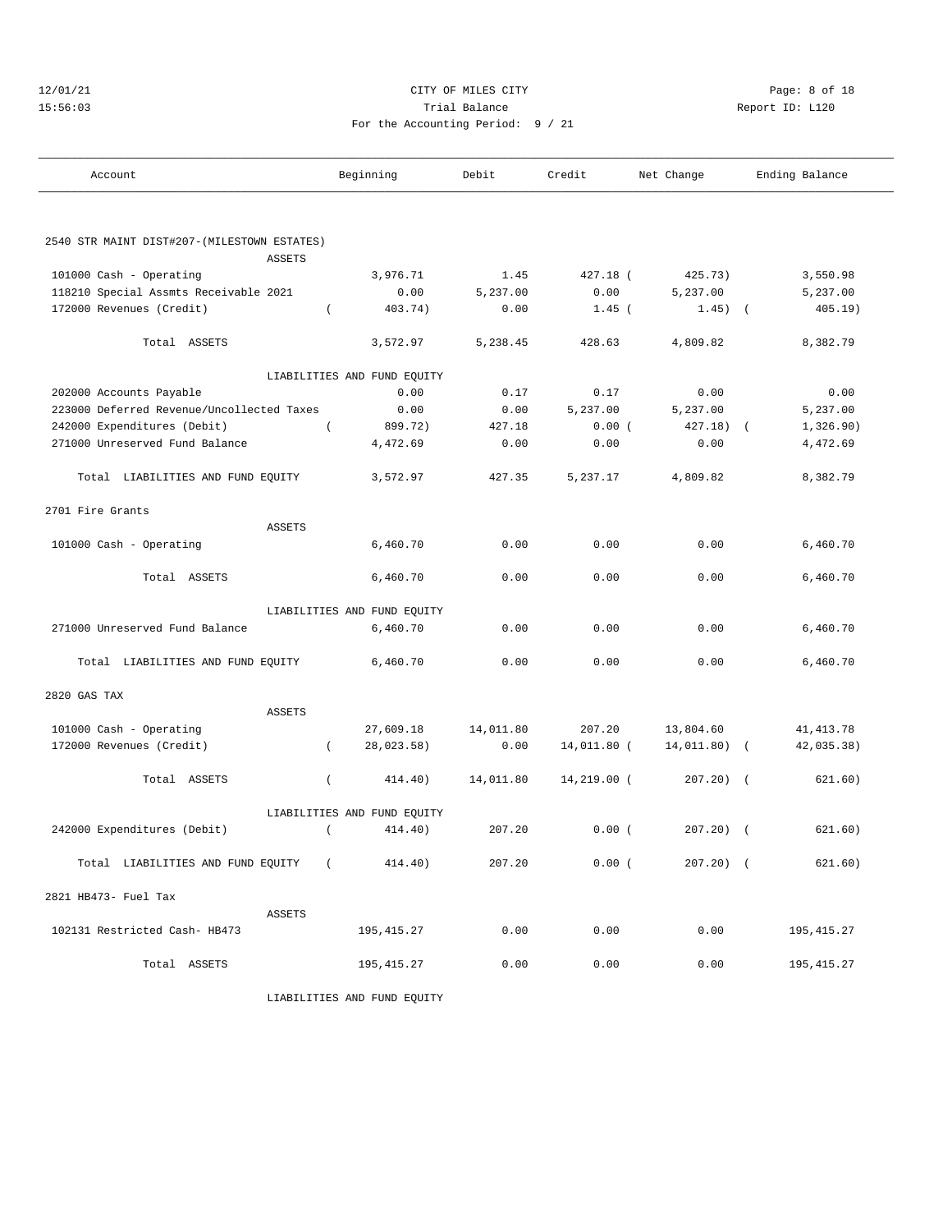## 12/01/21 CITY OF MILES CITY Page: 8 of 18 15:56:03 Trial Balance Report ID: L120 For the Accounting Period: 9 / 21

| Account                                                      | Beginning                   | Debit     | Credit      | Net Change   | Ending Balance           |
|--------------------------------------------------------------|-----------------------------|-----------|-------------|--------------|--------------------------|
|                                                              |                             |           |             |              |                          |
| 2540 STR MAINT DIST#207-(MILESTOWN ESTATES)<br><b>ASSETS</b> |                             |           |             |              |                          |
| 101000 Cash - Operating                                      | 3,976.71                    | 1.45      | 427.18 (    | 425.73)      | 3,550.98                 |
| 118210 Special Assmts Receivable 2021                        | 0.00                        | 5,237.00  | 0.00        | 5,237.00     | 5,237.00                 |
| 172000 Revenues (Credit)                                     | 403.74)<br>$\left($         | 0.00      | $1.45$ (    | $1.45)$ (    | 405.19)                  |
| Total ASSETS                                                 | 3,572.97                    | 5,238.45  | 428.63      | 4,809.82     | 8,382.79                 |
|                                                              | LIABILITIES AND FUND EQUITY |           |             |              |                          |
| 202000 Accounts Payable                                      | 0.00                        | 0.17      | 0.17        | 0.00         | 0.00                     |
| 223000 Deferred Revenue/Uncollected Taxes                    | 0.00                        | 0.00      | 5,237.00    | 5,237.00     | 5,237.00                 |
| 242000 Expenditures (Debit)                                  | 899.72)<br>$\left($         | 427.18    | 0.00(       | $427.18$ (   | 1,326.90)                |
| 271000 Unreserved Fund Balance                               | 4,472.69                    | 0.00      | 0.00        | 0.00         | 4,472.69                 |
| Total LIABILITIES AND FUND EQUITY                            | 3,572.97                    | 427.35    | 5,237.17    | 4,809.82     | 8,382.79                 |
| 2701 Fire Grants                                             |                             |           |             |              |                          |
| <b>ASSETS</b>                                                |                             |           |             |              |                          |
| 101000 Cash - Operating                                      | 6,460.70                    | 0.00      | 0.00        | 0.00         | 6,460.70                 |
| Total ASSETS                                                 | 6,460.70                    | 0.00      | 0.00        | 0.00         | 6,460.70                 |
|                                                              | LIABILITIES AND FUND EQUITY |           |             |              |                          |
| 271000 Unreserved Fund Balance                               | 6,460.70                    | 0.00      | 0.00        | 0.00         | 6,460.70                 |
| Total LIABILITIES AND FUND EQUITY                            | 6,460.70                    | 0.00      | 0.00        | 0.00         | 6,460.70                 |
| 2820 GAS TAX                                                 |                             |           |             |              |                          |
| <b>ASSETS</b>                                                |                             |           |             |              |                          |
| 101000 Cash - Operating                                      | 27,609.18                   | 14,011.80 | 207.20      | 13,804.60    | 41, 413.78               |
| 172000 Revenues (Credit)                                     | 28,023.58)<br>$\left($      | 0.00      | 14,011.80 ( | 14,011.80)   | 42,035.38)<br>$\sqrt{2}$ |
| Total ASSETS                                                 | $\left($<br>414.40)         | 14,011.80 | 14,219.00 ( | $207.20$ ) ( | 621.60)                  |
|                                                              | LIABILITIES AND FUND EQUITY |           |             |              |                          |
| 242000 Expenditures (Debit)                                  | 414.40)<br>$\left($         | 207.20    | 0.00(       | $207.20$ ) ( | 621.60)                  |
| Total LIABILITIES AND FUND EQUITY (                          | 414.40)                     | 207.20    | 0.00(       | $207.20$ ) ( | 621.60)                  |
| 2821 HB473- Fuel Tax                                         |                             |           |             |              |                          |
| ASSETS                                                       |                             |           |             |              |                          |
| 102131 Restricted Cash- HB473                                | 195,415.27                  | 0.00      | 0.00        | 0.00         | 195,415.27               |
| Total ASSETS                                                 | 195, 415.27                 | 0.00      | 0.00        | 0.00         | 195, 415.27              |

LIABILITIES AND FUND EQUITY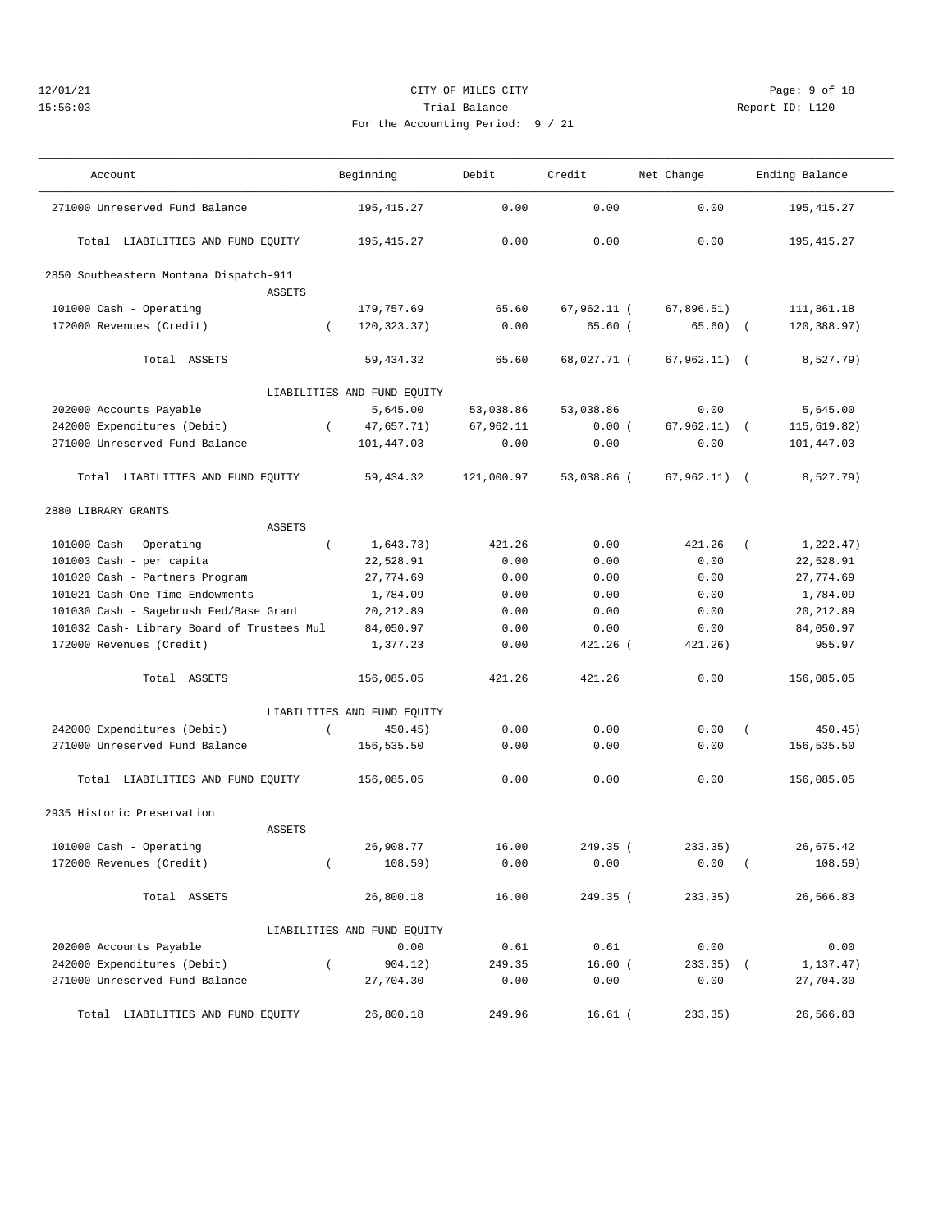## 12/01/21 CITY OF MILES CITY Page: 9 of 18 15:56:03 Trial Balance Report ID: L120 For the Accounting Period

——————————————————————————————————————————————————————————————————————————————————————————————————————————————————————————————————— Account and Beginning Debit Credit Net Change Ending Balance ———————————————————————————————————————————————————————————————————————————————————————————————————————————————————————————————————

| 271000 Unreserved Fund Balance             |                | 195,415.27                  | 0.00       | 0.00        | 0.00           |            | 195,415.27  |
|--------------------------------------------|----------------|-----------------------------|------------|-------------|----------------|------------|-------------|
| Total LIABILITIES AND FUND EQUITY          |                | 195, 415.27                 | 0.00       | 0.00        | 0.00           |            | 195, 415.27 |
| 2850 Southeastern Montana Dispatch-911     |                |                             |            |             |                |            |             |
| <b>ASSETS</b>                              |                |                             |            |             |                |            |             |
| 101000 Cash - Operating                    |                | 179,757.69                  | 65.60      | 67,962.11 ( | 67,896.51)     |            | 111,861.18  |
| 172000 Revenues (Credit)                   | $\left($       | 120,323.37)                 | 0.00       | 65.60(      | 65.60)         | $\sqrt{2}$ | 120,388.97) |
| Total ASSETS                               |                | 59, 434.32                  | 65.60      | 68,027.71 ( | 67,962.11)     | $\sqrt{2}$ | 8,527.79)   |
|                                            |                | LIABILITIES AND FUND EQUITY |            |             |                |            |             |
| 202000 Accounts Payable                    |                | 5,645.00                    | 53,038.86  | 53,038.86   | 0.00           |            | 5,645.00    |
| 242000 Expenditures (Debit)                | $\left($       | 47,657.71)                  | 67,962.11  | 0.00(       | $67,962.11)$ ( |            | 115,619.82) |
| 271000 Unreserved Fund Balance             |                | 101,447.03                  | 0.00       | 0.00        | 0.00           |            | 101,447.03  |
| Total LIABILITIES AND FUND EQUITY          |                | 59, 434.32                  | 121,000.97 | 53,038.86 ( | $67,962.11)$ ( |            | 8,527.79)   |
| 2880 LIBRARY GRANTS                        |                |                             |            |             |                |            |             |
| ASSETS                                     |                |                             |            |             |                |            |             |
| 101000 Cash - Operating                    | $\left($       | 1,643.73)                   | 421.26     | 0.00        | 421.26         | $\left($   | 1,222.47)   |
| 101003 Cash - per capita                   |                | 22,528.91                   | 0.00       | 0.00        | 0.00           |            | 22,528.91   |
| 101020 Cash - Partners Program             |                | 27,774.69                   | 0.00       | 0.00        | 0.00           |            | 27,774.69   |
| 101021 Cash-One Time Endowments            |                | 1,784.09                    | 0.00       | 0.00        | 0.00           |            | 1,784.09    |
| 101030 Cash - Sagebrush Fed/Base Grant     |                | 20, 212.89                  | 0.00       | 0.00        | 0.00           |            | 20, 212.89  |
| 101032 Cash- Library Board of Trustees Mul |                | 84,050.97                   | 0.00       | 0.00        | 0.00           |            | 84,050.97   |
| 172000 Revenues (Credit)                   |                | 1,377.23                    | 0.00       | 421.26 (    | 421.26)        |            | 955.97      |
| Total ASSETS                               |                | 156,085.05                  | 421.26     | 421.26      | 0.00           |            | 156,085.05  |
|                                            |                | LIABILITIES AND FUND EQUITY |            |             |                |            |             |
| 242000 Expenditures (Debit)                | $\overline{ }$ | 450.45)                     | 0.00       | 0.00        | 0.00           | $\sqrt{ }$ | 450.45)     |
| 271000 Unreserved Fund Balance             |                | 156,535.50                  | 0.00       | 0.00        | 0.00           |            | 156,535.50  |
| Total LIABILITIES AND FUND EQUITY          |                | 156,085.05                  | 0.00       | 0.00        | 0.00           |            | 156,085.05  |
| 2935 Historic Preservation                 |                |                             |            |             |                |            |             |
| <b>ASSETS</b>                              |                |                             |            |             |                |            |             |
| 101000 Cash - Operating                    |                | 26,908.77                   | 16.00      | 249.35 (    | 233.35)        |            | 26,675.42   |
| 172000 Revenues (Credit)                   | $\left($       | 108.59)                     | 0.00       | 0.00        | 0.00           | $\sqrt{2}$ | 108.59)     |
| Total ASSETS                               |                | 26,800.18                   | 16.00      | 249.35 (    | 233.35)        |            | 26,566.83   |
|                                            |                | LIABILITIES AND FUND EQUITY |            |             |                |            |             |
| 202000 Accounts Payable                    |                | 0.00                        | 0.61       | 0.61        | 0.00           |            | 0.00        |
| 242000 Expenditures (Debit)                | $\left($       | 904.12)                     | 249.35     | $16.00$ (   | $233.35)$ (    |            | 1,137.47)   |
| 271000 Unreserved Fund Balance             |                | 27,704.30                   | 0.00       | 0.00        | 0.00           |            | 27,704.30   |
| Total LIABILITIES AND FUND EQUITY          |                | 26,800.18                   | 249.96     | $16.61$ (   | 233.35)        |            | 26,566.83   |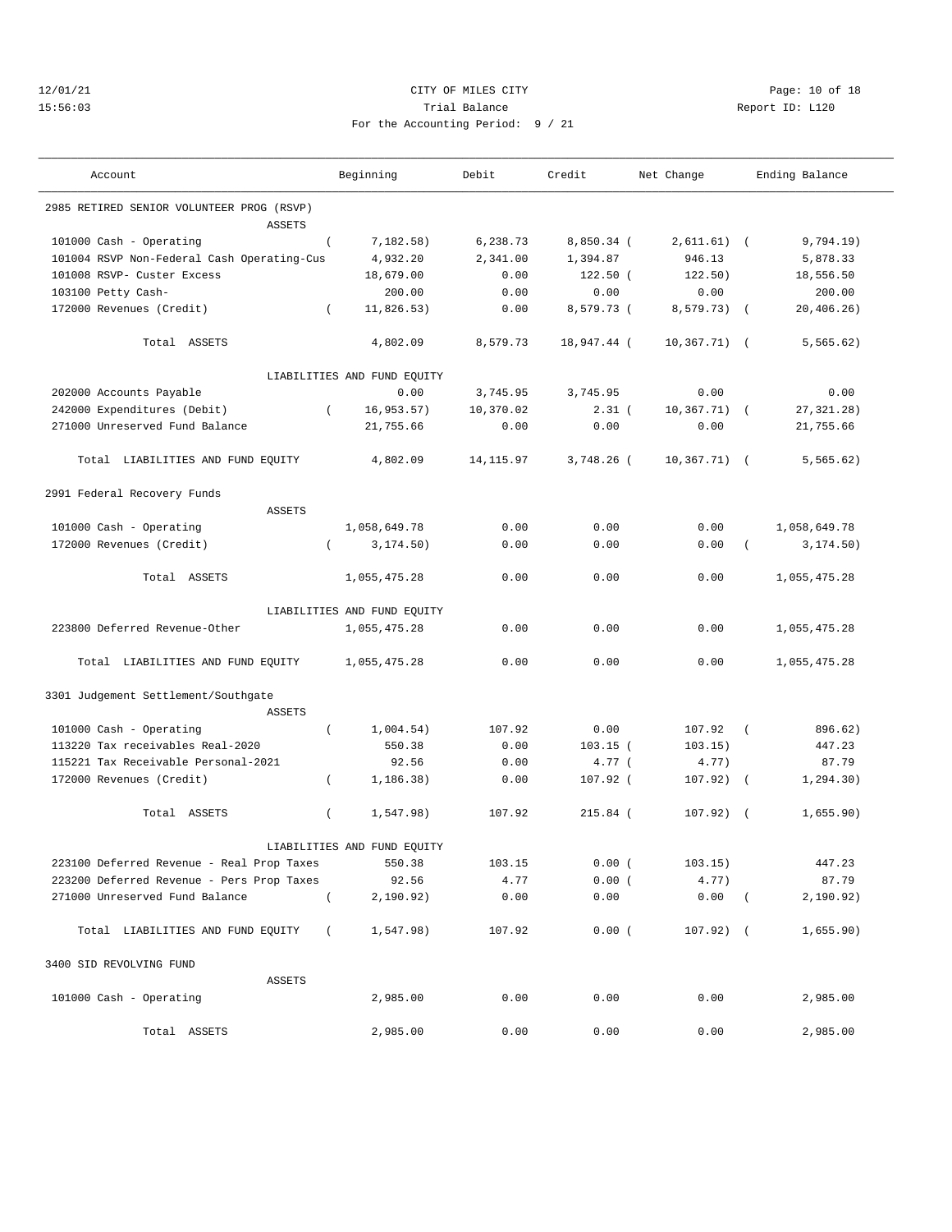## 12/01/21 Page: 10 of 18 15:56:03 Trial Balance Report ID: L120 For the Accounting Period: 9 / 21

———————————————————————————————————————————————————————————————————————————————————————————————————————————————————————————————————

| Account                                    |            | Beginning                   | Debit      | Credit      | Net Change      |            | Ending Balance |
|--------------------------------------------|------------|-----------------------------|------------|-------------|-----------------|------------|----------------|
| 2985 RETIRED SENIOR VOLUNTEER PROG (RSVP)  |            |                             |            |             |                 |            |                |
| <b>ASSETS</b>                              |            |                             |            |             |                 |            |                |
| 101000 Cash - Operating                    | $\left($   | 7,182.58)                   | 6,238.73   | 8,850.34 (  | $2,611.61)$ (   |            | 9,794.19)      |
| 101004 RSVP Non-Federal Cash Operating-Cus |            | 4,932.20                    | 2,341.00   | 1,394.87    | 946.13          |            | 5,878.33       |
| 101008 RSVP- Custer Excess                 |            | 18,679.00                   | 0.00       | $122.50$ (  | 122.50)         |            | 18,556.50      |
| 103100 Petty Cash-                         |            | 200.00                      | 0.00       | 0.00        | 0.00            |            | 200.00         |
| 172000 Revenues (Credit)                   | $\sqrt{2}$ | 11,826.53)                  | 0.00       | 8,579.73 (  | 8,579.73) (     |            | 20, 406.26)    |
| Total ASSETS                               |            | 4,802.09                    | 8,579.73   | 18,947.44 ( | $10,367.71)$ (  |            | 5, 565.62)     |
|                                            |            | LIABILITIES AND FUND EQUITY |            |             |                 |            |                |
| 202000 Accounts Payable                    |            | 0.00                        | 3,745.95   | 3,745.95    | 0.00            |            | 0.00           |
| 242000 Expenditures (Debit)                | $\left($   | 16, 953.57)                 | 10,370.02  | $2.31$ (    | $10, 367.71)$ ( |            | 27, 321. 28)   |
| 271000 Unreserved Fund Balance             |            | 21,755.66                   | 0.00       | 0.00        | 0.00            |            | 21,755.66      |
| Total LIABILITIES AND FUND EQUITY          |            | 4,802.09                    | 14, 115.97 | 3,748.26 (  | $10,367.71)$ (  |            | 5, 565.62)     |
| 2991 Federal Recovery Funds                |            |                             |            |             |                 |            |                |
| ASSETS                                     |            |                             |            |             |                 |            |                |
| 101000 Cash - Operating                    |            | 1,058,649.78                | 0.00       | 0.00        | 0.00            |            | 1,058,649.78   |
| 172000 Revenues (Credit)                   | $\left($   | 3, 174.50)                  | 0.00       | 0.00        | 0.00            | $\left($   | 3, 174.50)     |
| Total ASSETS                               |            | 1,055,475.28                | 0.00       | 0.00        | 0.00            |            | 1,055,475.28   |
|                                            |            | LIABILITIES AND FUND EQUITY |            |             |                 |            |                |
| 223800 Deferred Revenue-Other              |            | 1,055,475.28                | 0.00       | 0.00        | 0.00            |            | 1,055,475.28   |
| Total LIABILITIES AND FUND EQUITY          |            | 1,055,475.28                | 0.00       | 0.00        | 0.00            |            | 1,055,475.28   |
| 3301 Judgement Settlement/Southgate        |            |                             |            |             |                 |            |                |
| <b>ASSETS</b>                              |            |                             |            |             |                 |            |                |
| 101000 Cash - Operating                    | $\left($   | 1,004.54)                   | 107.92     | 0.00        | 107.92          | $\sqrt{2}$ | 896.62)        |
| 113220 Tax receivables Real-2020           |            | 550.38                      | 0.00       | $103.15$ (  | 103.15)         |            | 447.23         |
| 115221 Tax Receivable Personal-2021        |            | 92.56                       | 0.00       | 4.77 (      | 4.77)           |            | 87.79          |
| 172000 Revenues (Credit)                   | $\left($   | 1, 186.38)                  | 0.00       | 107.92 (    | $107.92)$ (     |            | 1, 294.30)     |
| Total ASSETS                               | $\left($   | 1,547.98)                   | 107.92     | $215.84$ (  | $107.92)$ (     |            | 1,655.90)      |
|                                            |            | LIABILITIES AND FUND EQUITY |            |             |                 |            |                |
| 223100 Deferred Revenue - Real Prop Taxes  |            | 550.38                      | 103.15     | 0.00(       | 103.15)         |            | 447.23         |
| 223200 Deferred Revenue - Pers Prop Taxes  |            | 92.56                       | 4.77       | 0.00(       | 4.77)           |            | 87.79          |
| 271000 Unreserved Fund Balance             | $\left($   | 2,190.92)                   | 0.00       | 0.00        | $0.00$ (        |            | 2,190.92)      |
| Total LIABILITIES AND FUND EQUITY          | $\sqrt{2}$ | 1,547.98)                   | 107.92     | 0.00(       | $107.92)$ (     |            | 1,655.90)      |
| 3400 SID REVOLVING FUND                    |            |                             |            |             |                 |            |                |
| ASSETS                                     |            |                             |            |             |                 |            |                |
| 101000 Cash - Operating                    |            | 2,985.00                    | 0.00       | 0.00        | 0.00            |            | 2,985.00       |
| Total ASSETS                               |            | 2,985.00                    | 0.00       | 0.00        | 0.00            |            | 2,985.00       |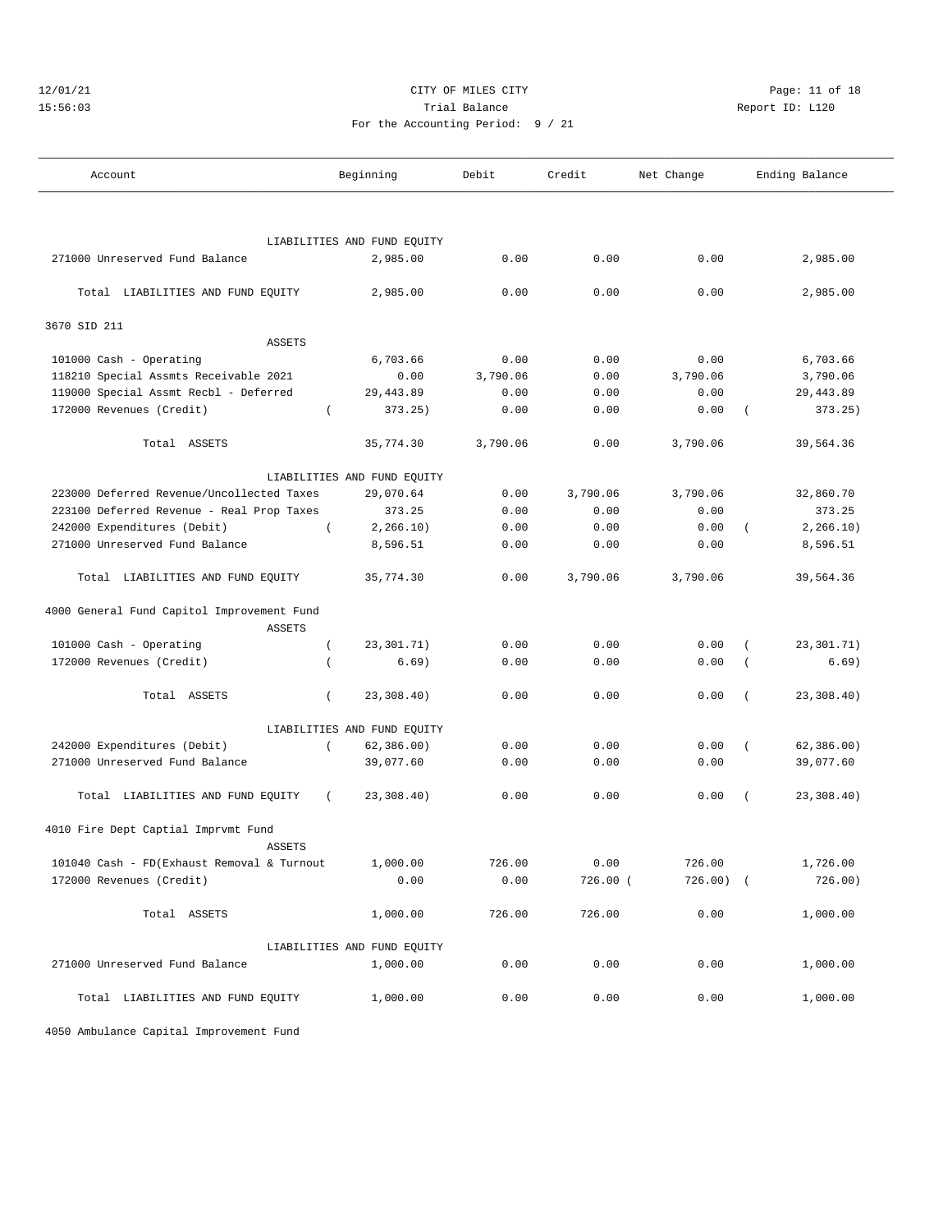## 12/01/21 **CITY OF MILES CITY CITY CITY Page: 11 of 18** 15:56:03 Trial Balance Report ID: L120 For the Accounting Period: 9 / 21

| Account                                    |          | Beginning                   | Debit    | Credit   | Net Change  |          | Ending Balance |
|--------------------------------------------|----------|-----------------------------|----------|----------|-------------|----------|----------------|
|                                            |          |                             |          |          |             |          |                |
|                                            |          | LIABILITIES AND FUND EQUITY |          |          |             |          |                |
| 271000 Unreserved Fund Balance             |          | 2,985.00                    | 0.00     | 0.00     | 0.00        |          | 2,985.00       |
| Total LIABILITIES AND FUND EQUITY          |          | 2,985.00                    | 0.00     | 0.00     | 0.00        |          | 2,985.00       |
| 3670 SID 211                               |          |                             |          |          |             |          |                |
| <b>ASSETS</b>                              |          |                             |          |          |             |          |                |
| 101000 Cash - Operating                    |          | 6,703.66                    | 0.00     | 0.00     | 0.00        |          | 6,703.66       |
| 118210 Special Assmts Receivable 2021      |          | 0.00                        | 3,790.06 | 0.00     | 3,790.06    |          | 3,790.06       |
| 119000 Special Assmt Recbl - Deferred      |          | 29,443.89                   | 0.00     | 0.00     | 0.00        |          | 29,443.89      |
| 172000 Revenues (Credit)                   |          | 373.25)                     | 0.00     | 0.00     | 0.00        |          | 373.25)        |
| Total ASSETS                               |          | 35,774.30                   | 3,790.06 | 0.00     | 3,790.06    |          | 39,564.36      |
|                                            |          | LIABILITIES AND FUND EQUITY |          |          |             |          |                |
| 223000 Deferred Revenue/Uncollected Taxes  |          | 29,070.64                   | 0.00     | 3,790.06 | 3,790.06    |          | 32,860.70      |
| 223100 Deferred Revenue - Real Prop Taxes  |          | 373.25                      | 0.00     | 0.00     | 0.00        |          | 373.25         |
| 242000 Expenditures (Debit)                | $\left($ | 2, 266.10)                  | 0.00     | 0.00     | 0.00        | $\left($ | 2, 266.10)     |
| 271000 Unreserved Fund Balance             |          | 8,596.51                    | 0.00     | 0.00     | 0.00        |          | 8,596.51       |
| Total LIABILITIES AND FUND EQUITY          |          | 35,774.30                   | 0.00     | 3,790.06 | 3,790.06    |          | 39,564.36      |
| 4000 General Fund Capitol Improvement Fund |          |                             |          |          |             |          |                |
| <b>ASSETS</b>                              |          |                             |          |          |             |          |                |
| 101000 Cash - Operating                    | $\left($ | 23,301.71)                  | 0.00     | 0.00     | 0.00        |          | 23,301.71)     |
| 172000 Revenues (Credit)                   |          | 6.69)                       | 0.00     | 0.00     | 0.00        |          | 6.69)          |
| Total ASSETS                               | $\left($ | 23,308.40)                  | 0.00     | 0.00     | 0.00        |          | 23,308.40)     |
|                                            |          | LIABILITIES AND FUND EQUITY |          |          |             |          |                |
| 242000 Expenditures (Debit)                | $\left($ | 62, 386.00)                 | 0.00     | 0.00     | 0.00        |          | 62, 386.00)    |
| 271000 Unreserved Fund Balance             |          | 39,077.60                   | 0.00     | 0.00     | 0.00        |          | 39,077.60      |
| Total LIABILITIES AND FUND EQUITY          | $\left($ | 23,308.40)                  | 0.00     | 0.00     | 0.00        | $\left($ | 23,308.40)     |
| 4010 Fire Dept Captial Imprvmt Fund        |          |                             |          |          |             |          |                |
| <b>ASSETS</b>                              |          |                             |          |          |             |          |                |
| 101040 Cash - FD(Exhaust Removal & Turnout |          | 1,000.00                    | 726.00   | 0.00     | 726.00      |          | 1,726.00       |
| 172000 Revenues (Credit)                   |          | 0.00                        | 0.00     | 726.00 ( | $726.00)$ ( |          | 726.00)        |
| Total ASSETS                               |          | 1,000.00                    | 726.00   | 726.00   | 0.00        |          | 1,000.00       |
|                                            |          | LIABILITIES AND FUND EQUITY |          |          |             |          |                |
| 271000 Unreserved Fund Balance             |          | 1,000.00                    | 0.00     | 0.00     | 0.00        |          | 1,000.00       |
| Total LIABILITIES AND FUND EQUITY          |          | 1,000.00                    | 0.00     | 0.00     | 0.00        |          | 1,000.00       |

4050 Ambulance Capital Improvement Fund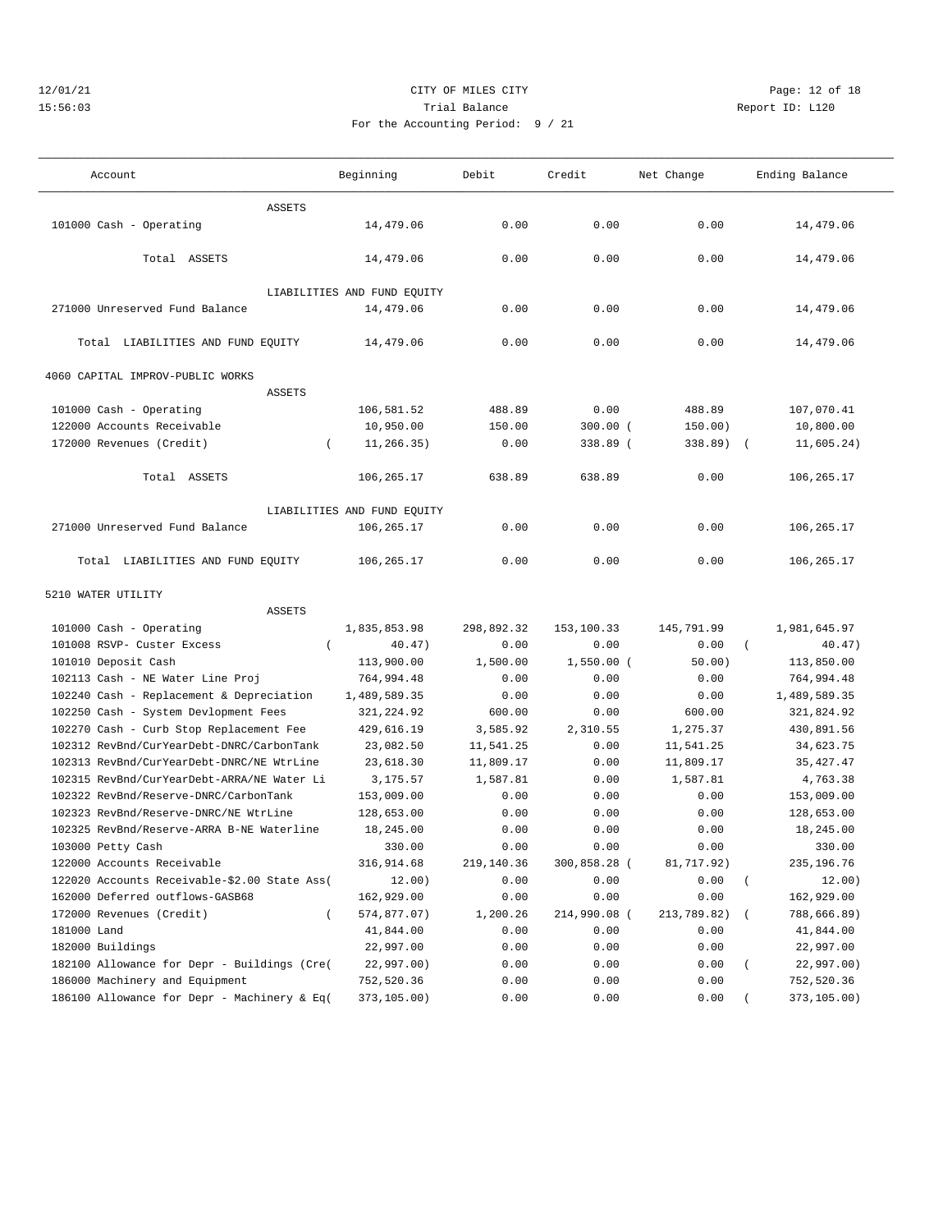## 12/01/21 **CITY OF MILES CITY CITY CITY Page: 12 of 18** 15:56:03 Trial Balance Report ID: L120 For the Accounting Period: 9 / 21

| Account                                      | Beginning                   | Debit      | Credit       | Net Change  | Ending Balance                 |
|----------------------------------------------|-----------------------------|------------|--------------|-------------|--------------------------------|
| <b>ASSETS</b>                                |                             |            |              |             |                                |
| 101000 Cash - Operating                      | 14,479.06                   | 0.00       | 0.00         | 0.00        | 14,479.06                      |
| Total ASSETS                                 | 14,479.06                   | 0.00       | 0.00         | 0.00        | 14,479.06                      |
|                                              | LIABILITIES AND FUND EQUITY |            |              |             |                                |
| 271000 Unreserved Fund Balance               | 14,479.06                   | 0.00       | 0.00         | 0.00        | 14,479.06                      |
| Total LIABILITIES AND FUND EQUITY            | 14,479.06                   | 0.00       | 0.00         | 0.00        | 14,479.06                      |
| 4060 CAPITAL IMPROV-PUBLIC WORKS             |                             |            |              |             |                                |
| <b>ASSETS</b>                                |                             |            |              |             |                                |
| 101000 Cash - Operating                      | 106,581.52                  | 488.89     | 0.00         | 488.89      | 107,070.41                     |
| 122000 Accounts Receivable                   | 10,950.00                   | 150.00     | $300.00$ (   | 150.00)     | 10,800.00                      |
| 172000 Revenues (Credit)                     | 11,266.35)<br>$\left($      | 0.00       | 338.89 (     | 338.89)     | 11,605.24)                     |
|                                              |                             |            |              |             |                                |
| Total ASSETS                                 | 106,265.17                  | 638.89     | 638.89       | 0.00        | 106,265.17                     |
|                                              |                             |            |              |             |                                |
|                                              | LIABILITIES AND FUND EQUITY |            |              |             |                                |
| 271000 Unreserved Fund Balance               | 106,265.17                  | 0.00       | 0.00         | 0.00        | 106,265.17                     |
| Total LIABILITIES AND FUND EQUITY            | 106,265.17                  | 0.00       | 0.00         | 0.00        | 106,265.17                     |
| 5210 WATER UTILITY                           |                             |            |              |             |                                |
| <b>ASSETS</b>                                |                             |            |              |             |                                |
| 101000 Cash - Operating                      | 1,835,853.98                | 298,892.32 | 153,100.33   | 145,791.99  | 1,981,645.97                   |
| 101008 RSVP- Custer Excess                   | 40.47)<br>$\left($          | 0.00       | 0.00         | 0.00        | 40.47)<br>$\left($             |
| 101010 Deposit Cash                          | 113,900.00                  | 1,500.00   | $1,550.00$ ( | 50.00)      | 113,850.00                     |
| 102113 Cash - NE Water Line Proj             | 764,994.48                  | 0.00       | 0.00         | 0.00        | 764,994.48                     |
| 102240 Cash - Replacement & Depreciation     | 1,489,589.35                | 0.00       | 0.00         | 0.00        | 1,489,589.35                   |
| 102250 Cash - System Devlopment Fees         | 321, 224.92                 | 600.00     | 0.00         | 600.00      | 321,824.92                     |
| 102270 Cash - Curb Stop Replacement Fee      | 429,616.19                  | 3,585.92   | 2,310.55     | 1,275.37    | 430,891.56                     |
| 102312 RevBnd/CurYearDebt-DNRC/CarbonTank    | 23,082.50                   | 11,541.25  | 0.00         | 11,541.25   | 34,623.75                      |
| 102313 RevBnd/CurYearDebt-DNRC/NE WtrLine    | 23,618.30                   | 11,809.17  | 0.00         | 11,809.17   | 35, 427.47                     |
| 102315 RevBnd/CurYearDebt-ARRA/NE Water Li   | 3,175.57                    | 1,587.81   | 0.00         | 1,587.81    | 4,763.38                       |
| 102322 RevBnd/Reserve-DNRC/CarbonTank        | 153,009.00                  | 0.00       | 0.00         | 0.00        | 153,009.00                     |
| 102323 RevBnd/Reserve-DNRC/NE WtrLine        | 128,653.00                  | 0.00       | 0.00         | 0.00        | 128,653.00                     |
| 102325 RevBnd/Reserve-ARRA B-NE Waterline    | 18,245.00                   | 0.00       | 0.00         | 0.00        | 18,245.00                      |
| 103000 Petty Cash                            | 330.00                      | 0.00       | 0.00         | 0.00        | 330.00                         |
| 122000 Accounts Receivable                   | 316,914.68                  | 219,140.36 | 300,858.28 ( | 81,717.92)  | 235,196.76                     |
| 122020 Accounts Receivable-\$2.00 State Ass( | 12.00)                      | 0.00       | 0.00         | 0.00        | 12.00)<br>$\overline{(\cdot)}$ |
| 162000 Deferred outflows-GASB68              | 162,929.00                  | 0.00       | 0.00         | 0.00        | 162,929.00                     |
| 172000 Revenues (Credit)                     | 574,877.07)<br>$\left($     | 1,200.26   | 214,990.08 ( | 213,789.82) | 788,666.89)                    |
| 181000 Land                                  | 41,844.00                   | 0.00       | 0.00         | 0.00        | 41,844.00                      |
| 182000 Buildings                             | 22,997.00                   | 0.00       | 0.00         | 0.00        | 22,997.00                      |
| 182100 Allowance for Depr - Buildings (Cre(  | 22,997.00)                  | 0.00       | 0.00         | 0.00        | 22,997.00)                     |
| 186000 Machinery and Equipment               | 752,520.36                  | 0.00       | 0.00         | 0.00        | 752,520.36                     |
| 186100 Allowance for Depr - Machinery & Eq(  | 373,105.00)                 | 0.00       | 0.00         | 0.00        | 373,105.00)                    |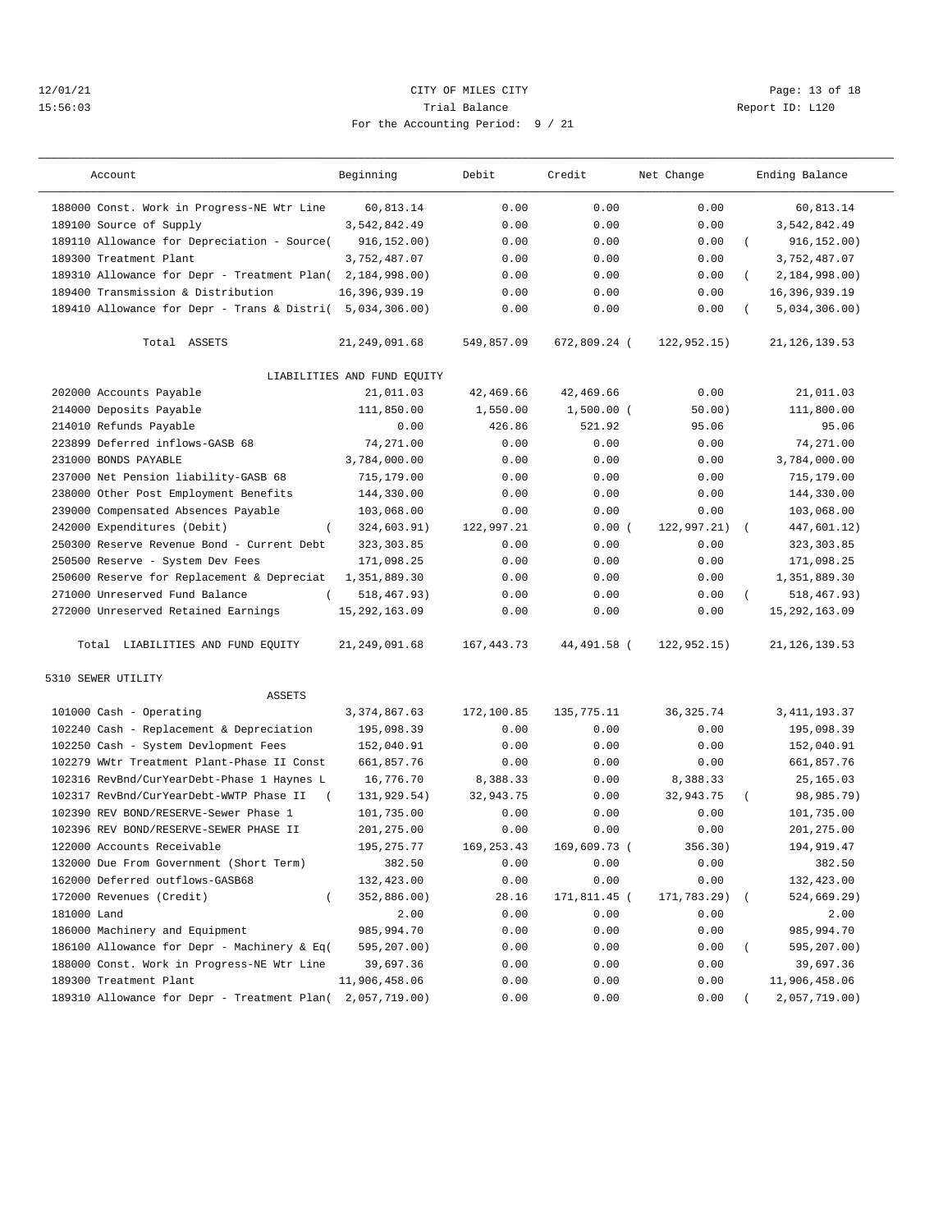## 12/01/21 Page: 13 of 18 15:56:03 Trial Balance Report ID: L120 For the Accounting Period: 9 / 21

| Account                                             | Beginning                   | Debit        | Credit       | Net Change   | Ending Balance            |  |
|-----------------------------------------------------|-----------------------------|--------------|--------------|--------------|---------------------------|--|
| 188000 Const. Work in Progress-NE Wtr Line          | 60,813.14                   | 0.00         | 0.00         | 0.00         | 60,813.14                 |  |
| 189100 Source of Supply                             | 3,542,842.49                | 0.00         | 0.00         | 0.00         | 3,542,842.49              |  |
| 189110 Allowance for Depreciation - Source(         | 916, 152.00)                | 0.00         | 0.00         | 0.00         | 916, 152.00)              |  |
| 189300 Treatment Plant                              | 3,752,487.07                | 0.00         | 0.00         | 0.00         | 3,752,487.07              |  |
| 189310 Allowance for Depr - Treatment Plan(         | 2,184,998.00)               | 0.00         | 0.00         | 0.00         | 2,184,998.00)             |  |
| 189400 Transmission & Distribution                  | 16,396,939.19               | 0.00         | 0.00         | 0.00         | 16,396,939.19             |  |
| 189410 Allowance for Depr - Trans & Distri(         | 5,034,306.00                | 0.00         | 0.00         | 0.00         | 5,034,306.00)             |  |
| Total ASSETS                                        | 21, 249, 091.68             | 549,857.09   | 672,809.24 ( | 122, 952.15) | 21, 126, 139.53           |  |
|                                                     | LIABILITIES AND FUND EQUITY |              |              |              |                           |  |
| 202000 Accounts Payable                             | 21,011.03                   | 42,469.66    | 42,469.66    | 0.00         | 21,011.03                 |  |
| 214000 Deposits Payable                             | 111,850.00                  | 1,550.00     | $1,500.00$ ( | 50.00)       | 111,800.00                |  |
| 214010 Refunds Payable                              | 0.00                        | 426.86       | 521.92       | 95.06        | 95.06                     |  |
| 223899 Deferred inflows-GASB 68                     | 74,271.00                   | 0.00         | 0.00         | 0.00         | 74,271.00                 |  |
| 231000 BONDS PAYABLE                                | 3,784,000.00                | 0.00         | 0.00         | 0.00         | 3,784,000.00              |  |
| 237000 Net Pension liability-GASB 68                | 715,179.00                  | 0.00         | 0.00         | 0.00         | 715,179.00                |  |
| 238000 Other Post Employment Benefits               | 144,330.00                  | 0.00         | 0.00         | 0.00         | 144,330.00                |  |
| 239000 Compensated Absences Payable                 | 103,068.00                  | 0.00         | 0.00         | 0.00         | 103,068.00                |  |
| 242000 Expenditures (Debit)<br>$\left($             | 324,603.91)                 | 122,997.21   | 0.00(        | 122,997.21)  | 447,601.12)<br>$\left($   |  |
| 250300 Reserve Revenue Bond - Current Debt          | 323, 303.85                 | 0.00         | 0.00         | 0.00         | 323, 303.85               |  |
| 250500 Reserve - System Dev Fees                    | 171,098.25                  | 0.00         | 0.00         | 0.00         | 171,098.25                |  |
| 250600 Reserve for Replacement & Depreciat          | 1,351,889.30                | 0.00         | 0.00         | 0.00         | 1,351,889.30              |  |
| 271000 Unreserved Fund Balance                      | 518, 467.93)                | 0.00         | 0.00         | 0.00         | 518, 467. 93)<br>$\left($ |  |
| 272000 Unreserved Retained Earnings                 | 15, 292, 163.09             | 0.00         | 0.00         | 0.00         | 15, 292, 163.09           |  |
| Total LIABILITIES AND FUND EQUITY                   | 21, 249, 091.68             | 167, 443. 73 | 44,491.58 (  | 122, 952.15) | 21, 126, 139.53           |  |
| 5310 SEWER UTILITY                                  |                             |              |              |              |                           |  |
| <b>ASSETS</b>                                       |                             |              |              |              |                           |  |
| 101000 Cash - Operating                             | 3, 374, 867.63              | 172,100.85   | 135,775.11   | 36, 325.74   | 3, 411, 193.37            |  |
| 102240 Cash - Replacement & Depreciation            | 195,098.39                  | 0.00         | 0.00         | 0.00         | 195,098.39                |  |
| 102250 Cash - System Devlopment Fees                | 152,040.91                  | 0.00         | 0.00         | 0.00         | 152,040.91                |  |
| 102279 WWtr Treatment Plant-Phase II Const          | 661,857.76                  | 0.00         | 0.00         | 0.00         | 661,857.76                |  |
| 102316 RevBnd/CurYearDebt-Phase 1 Haynes L          | 16,776.70                   | 8,388.33     | 0.00         | 8,388.33     | 25,165.03                 |  |
| 102317 RevBnd/CurYearDebt-WWTP Phase II<br>$\left($ | 131,929.54)                 | 32,943.75    | 0.00         | 32,943.75    | 98,985.79)                |  |
| 102390 REV BOND/RESERVE-Sewer Phase 1               | 101,735.00                  | 0.00         | 0.00         | 0.00         | 101,735.00                |  |
| 102396 REV BOND/RESERVE-SEWER PHASE II              | 201,275.00                  | 0.00         | 0.00         | 0.00         | 201, 275.00               |  |
| 122000 Accounts Receivable                          | 195, 275. 77                | 169, 253.43  | 169,609.73 ( | 356.30)      | 194,919.47                |  |
| 132000 Due From Government (Short Term)             | 382.50                      | 0.00         | 0.00         | 0.00         | 382.50                    |  |
| 162000 Deferred outflows-GASB68                     | 132,423.00                  | 0.00         | 0.00         | 0.00         | 132,423.00                |  |
| 172000 Revenues (Credit)<br>$\left($                | 352,886.00)                 | 28.16        | 171,811.45 ( | 171,783.29)  | 524,669.29)               |  |
| 181000 Land                                         | 2.00                        | 0.00         | 0.00         | 0.00         | 2.00                      |  |
| 186000 Machinery and Equipment                      | 985,994.70                  | 0.00         | 0.00         | 0.00         | 985,994.70                |  |
| 186100 Allowance for Depr - Machinery & Eq(         | 595,207.00)                 | 0.00         | 0.00         | 0.00         | 595,207.00)               |  |
| 188000 Const. Work in Progress-NE Wtr Line          | 39,697.36                   | 0.00         | 0.00         | 0.00         | 39,697.36                 |  |
| 189300 Treatment Plant                              | 11,906,458.06               | 0.00         | 0.00         | 0.00         | 11,906,458.06             |  |
| 189310 Allowance for Depr - Treatment Plan(         | 2,057,719.00)               | 0.00         | 0.00         | 0.00         | 2,057,719.00)             |  |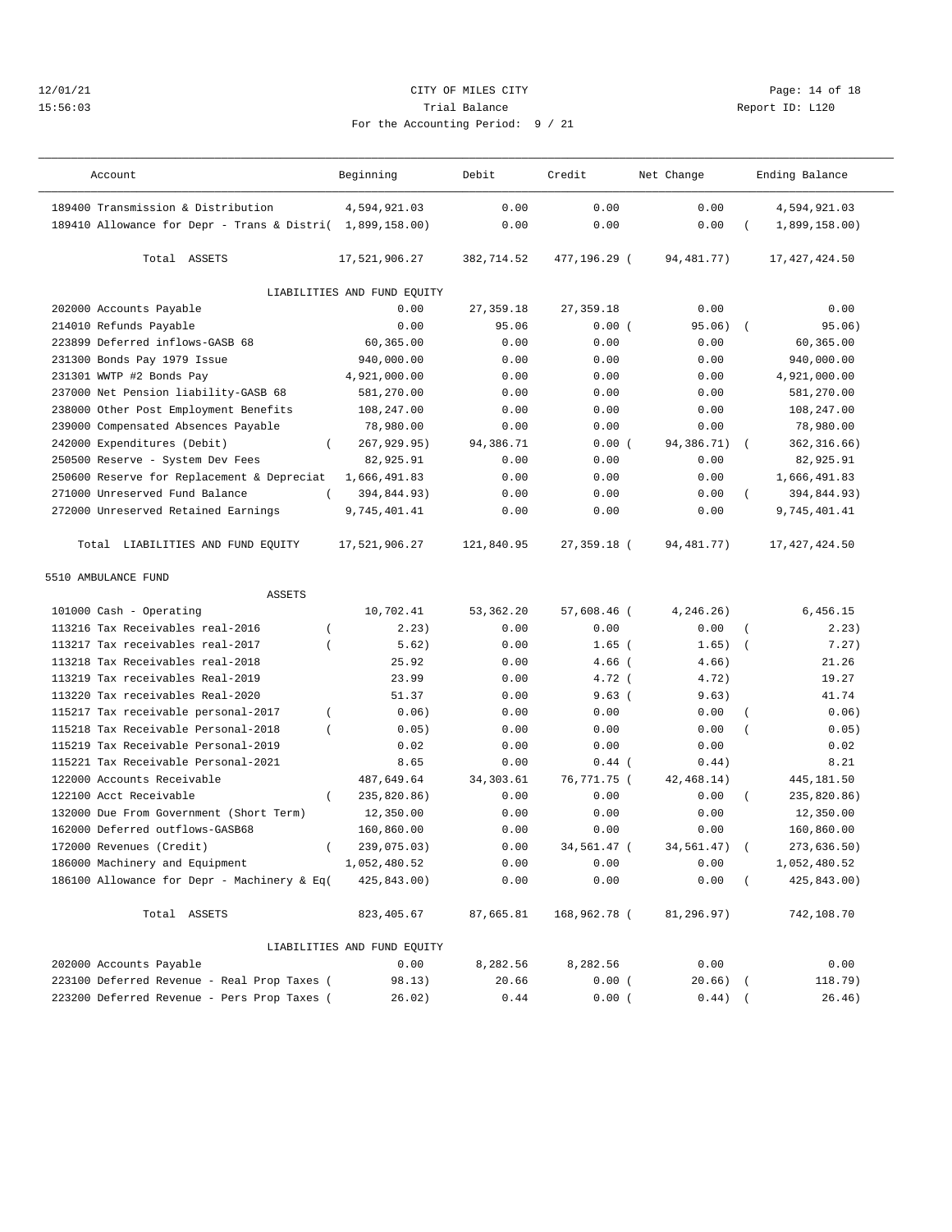## 12/01/21 **CITY OF MILES CITY CITY CITY PAGE:** 14 of 18 15:56:03 Trial Balance Report ID: L120 For the Accounting Period: 9 / 21

| Account                                                   | Beginning                   | Debit      | Credit       | Net Change   |                  | Ending Balance  |
|-----------------------------------------------------------|-----------------------------|------------|--------------|--------------|------------------|-----------------|
| 189400 Transmission & Distribution                        | 4,594,921.03                | 0.00       | 0.00         | 0.00         |                  | 4,594,921.03    |
| 189410 Allowance for Depr - Trans & Distri( 1,899,158.00) |                             | 0.00       | 0.00         | 0.00         |                  | 1,899,158.00)   |
| Total ASSETS                                              | 17,521,906.27               | 382,714.52 | 477,196.29 ( | 94,481.77)   |                  | 17, 427, 424.50 |
|                                                           | LIABILITIES AND FUND EQUITY |            |              |              |                  |                 |
| 202000 Accounts Payable                                   | 0.00                        | 27, 359.18 | 27, 359.18   | 0.00         |                  | 0.00            |
| 214010 Refunds Payable                                    | 0.00                        | 95.06      | 0.00(        | 95.06)       |                  | 95.06)          |
| 223899 Deferred inflows-GASB 68                           | 60,365.00                   | 0.00       | 0.00         | 0.00         |                  | 60,365.00       |
| 231300 Bonds Pay 1979 Issue                               | 940,000.00                  | 0.00       | 0.00         | 0.00         |                  | 940,000.00      |
| 231301 WWTP #2 Bonds Pay                                  | 4,921,000.00                | 0.00       | 0.00         | 0.00         |                  | 4,921,000.00    |
| 237000 Net Pension liability-GASB 68                      | 581,270.00                  | 0.00       | 0.00         | 0.00         |                  | 581,270.00      |
| 238000 Other Post Employment Benefits                     | 108,247.00                  | 0.00       | 0.00         | 0.00         |                  | 108,247.00      |
| 239000 Compensated Absences Payable                       | 78,980.00                   | 0.00       | 0.00         | 0.00         |                  | 78,980.00       |
| 242000 Expenditures (Debit)<br>$\left($                   | 267,929.95)                 | 94,386.71  | 0.00(        | 94,386.71)   | $\left($         | 362, 316.66)    |
| 250500 Reserve - System Dev Fees                          | 82,925.91                   | 0.00       | 0.00         | 0.00         |                  | 82,925.91       |
| 250600 Reserve for Replacement & Depreciat                | 1,666,491.83                | 0.00       | 0.00         | 0.00         |                  | 1,666,491.83    |
| 271000 Unreserved Fund Balance                            | 394,844.93)                 | 0.00       | 0.00         | 0.00         |                  | 394,844.93)     |
| 272000 Unreserved Retained Earnings                       | 9,745,401.41                | 0.00       | 0.00         | 0.00         |                  | 9,745,401.41    |
| Total LIABILITIES AND FUND EQUITY                         | 17,521,906.27               | 121,840.95 | 27,359.18 (  | 94, 481. 77) |                  | 17, 427, 424.50 |
| 5510 AMBULANCE FUND                                       |                             |            |              |              |                  |                 |
| <b>ASSETS</b>                                             |                             |            |              |              |                  |                 |
| 101000 Cash - Operating                                   | 10,702.41                   | 53, 362.20 | 57,608.46 (  | 4,246.26)    |                  | 6,456.15        |
| 113216 Tax Receivables real-2016                          | 2.23)                       | 0.00       | 0.00         | 0.00         | $\overline{(\ }$ | 2.23)           |
| 113217 Tax receivables real-2017<br>$\overline{ }$        | 5.62)                       | 0.00       | $1.65$ (     | 1.65)        | $\overline{ }$   | 7.27)           |
| 113218 Tax Receivables real-2018                          | 25.92                       | 0.00       | $4.66$ (     | 4.66)        |                  | 21.26           |
| 113219 Tax receivables Real-2019                          | 23.99                       | 0.00       | $4.72$ (     | 4.72)        |                  | 19.27           |
| 113220 Tax receivables Real-2020                          | 51.37                       | 0.00       | 9.63(        | 9.63)        |                  | 41.74           |
| 115217 Tax receivable personal-2017<br>$\left($           | 0.06)                       | 0.00       | 0.00         | 0.00         |                  | 0.06)           |
| 115218 Tax Receivable Personal-2018<br>$\overline{(\ }$   | 0.05)                       | 0.00       | 0.00         | 0.00         |                  | 0.05)           |
| 115219 Tax Receivable Personal-2019                       | 0.02                        | 0.00       | 0.00         | 0.00         |                  | 0.02            |
| 115221 Tax Receivable Personal-2021                       | 8.65                        | 0.00       | $0.44$ (     | 0.44)        |                  | 8.21            |
| 122000 Accounts Receivable                                | 487,649.64                  | 34, 303.61 | 76,771.75 (  | 42, 468.14)  |                  | 445,181.50      |
| $\left($<br>122100 Acct Receivable                        | 235,820.86)                 | 0.00       | 0.00         | 0.00         | $\left($         | 235,820.86)     |
| 132000 Due From Government (Short Term)                   | 12,350.00                   | 0.00       | 0.00         | 0.00         |                  | 12,350.00       |
| 162000 Deferred outflows-GASB68                           | 160,860.00                  | 0.00       | 0.00         | 0.00         |                  | 160,860.00      |
| 172000 Revenues (Credit)<br>$\left($                      | 239,075.03)                 | 0.00       | 34,561.47 (  | 34,561.47)   |                  | 273,636.50)     |
| 186000 Machinery and Equipment                            | 1,052,480.52                | 0.00       | 0.00         | 0.00         |                  | 1,052,480.52    |
| 186100 Allowance for Depr - Machinery & Eq(               | 425,843.00)                 | 0.00       | 0.00         | 0.00         |                  | 425,843.00)     |
|                                                           |                             |            |              |              |                  |                 |
| Total ASSETS                                              | 823,405.67                  | 87,665.81  | 168,962.78 ( | 81,296.97)   |                  | 742,108.70      |
|                                                           | LIABILITIES AND FUND EQUITY |            |              |              |                  |                 |
| 202000 Accounts Payable                                   | 0.00                        | 8,282.56   | 8,282.56     | 0.00         |                  | 0.00            |
| 223100 Deferred Revenue - Real Prop Taxes (               | 98.13)                      | 20.66      | 0.00(        | $20.66)$ (   |                  | 118.79)         |
| 223200 Deferred Revenue - Pers Prop Taxes (               | 26.02)                      | 0.44       | 0.00(        | $0.44)$ (    |                  | 26.46)          |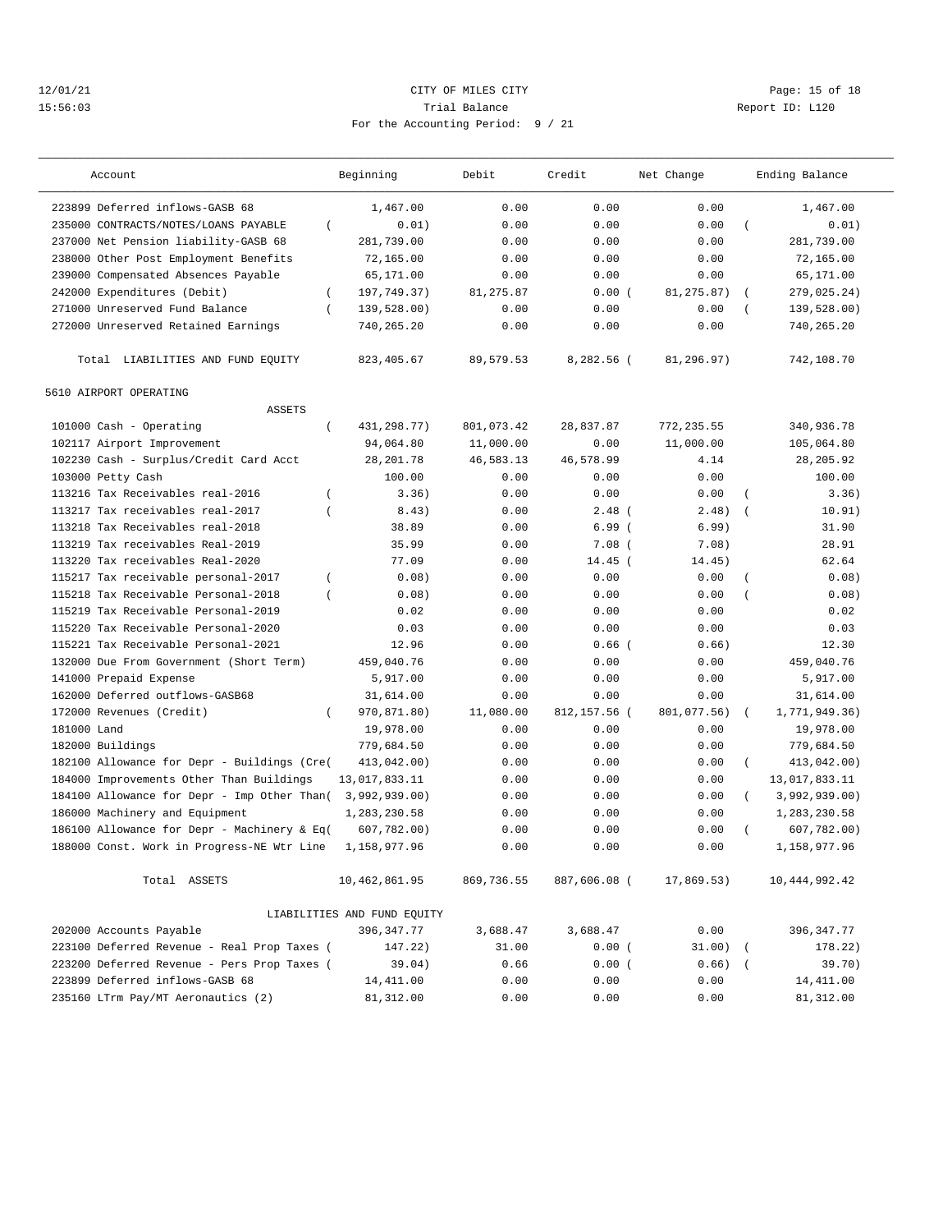## 12/01/21 Page: 15 of 18 15:56:03 Trial Balance Report ID: L120 For the Accounting Period: 9 / 21

| Account                                                                                 | Beginning                   | Debit      | Credit       | Net Change   |                | Ending Balance  |
|-----------------------------------------------------------------------------------------|-----------------------------|------------|--------------|--------------|----------------|-----------------|
| 223899 Deferred inflows-GASB 68                                                         | 1,467.00                    | 0.00       | 0.00         | 0.00         |                | 1,467.00        |
| 235000 CONTRACTS/NOTES/LOANS PAYABLE<br>$\left($                                        | 0.01)                       | 0.00       | 0.00         | 0.00         | $\overline{ }$ | 0.01)           |
| 237000 Net Pension liability-GASB 68                                                    | 281,739.00                  | 0.00       | 0.00         | 0.00         |                | 281,739.00      |
| 238000 Other Post Employment Benefits                                                   | 72,165.00                   | 0.00       | 0.00         | 0.00         |                | 72,165.00       |
| 239000 Compensated Absences Payable                                                     | 65,171.00                   | 0.00       | 0.00         | 0.00         |                | 65,171.00       |
| 242000 Expenditures (Debit)<br>$\left($                                                 | 197,749.37)                 | 81,275.87  | 0.00(        | 81, 275.87)  | $\left($       | 279,025.24)     |
| 271000 Unreserved Fund Balance<br>$\left($                                              | 139,528.00)                 | 0.00       | 0.00         | 0.00         |                | 139,528.00)     |
| 272000 Unreserved Retained Earnings                                                     | 740,265.20                  | 0.00       | 0.00         | 0.00         |                | 740,265.20      |
| Total LIABILITIES AND FUND EQUITY                                                       | 823, 405.67                 | 89,579.53  | 8,282.56 (   | 81,296.97)   |                | 742,108.70      |
| 5610 AIRPORT OPERATING                                                                  |                             |            |              |              |                |                 |
| <b>ASSETS</b>                                                                           |                             |            |              |              |                |                 |
| 101000 Cash - Operating<br>$\left($                                                     | 431, 298. 77)               | 801,073.42 | 28,837.87    | 772, 235.55  |                | 340,936.78      |
| 102117 Airport Improvement                                                              | 94,064.80                   | 11,000.00  | 0.00         | 11,000.00    |                | 105,064.80      |
| 102230 Cash - Surplus/Credit Card Acct                                                  | 28, 201.78                  | 46,583.13  | 46,578.99    | 4.14         |                | 28, 205.92      |
| 103000 Petty Cash                                                                       | 100.00                      | 0.00       | 0.00         | 0.00         |                | 100.00          |
| 113216 Tax Receivables real-2016<br>$\overline{ }$                                      | 3.36)                       | 0.00       | 0.00         | 0.00         |                | 3.36)           |
| 113217 Tax receivables real-2017<br>$\overline{ }$                                      | 8.43)                       | 0.00       | $2.48$ (     | 2.48)        | $\left($       | 10.91)          |
| 113218 Tax Receivables real-2018                                                        | 38.89                       | 0.00       | 6.99(        | 6.99)        |                | 31.90           |
| 113219 Tax receivables Real-2019                                                        | 35.99                       | 0.00       | $7.08$ (     | 7.08)        |                | 28.91           |
| 113220 Tax receivables Real-2020                                                        | 77.09                       | 0.00       | $14.45$ (    | 14.45)       |                | 62.64           |
| 115217 Tax receivable personal-2017<br>$\overline{ }$                                   | 0.08)                       | 0.00       | 0.00         | 0.00         |                | 0.08)           |
| 115218 Tax Receivable Personal-2018<br>$\left($                                         | 0.08)                       | 0.00       | 0.00         | 0.00         | $\overline{ }$ | 0.08)           |
| 115219 Tax Receivable Personal-2019                                                     | 0.02                        | 0.00       | 0.00         | 0.00         |                | 0.02            |
| 115220 Tax Receivable Personal-2020                                                     | 0.03                        | 0.00       | 0.00         | 0.00         |                | 0.03            |
| 115221 Tax Receivable Personal-2021                                                     | 12.96                       | 0.00       | $0.66$ (     | 0.66)        |                | 12.30           |
| 132000 Due From Government (Short Term)                                                 | 459,040.76                  | 0.00       | 0.00         | 0.00         |                | 459,040.76      |
| 141000 Prepaid Expense                                                                  | 5,917.00                    | 0.00       | 0.00         | 0.00         |                | 5,917.00        |
| 162000 Deferred outflows-GASB68                                                         | 31,614.00                   | 0.00       | 0.00         | 0.00         |                | 31,614.00       |
| 172000 Revenues (Credit)<br>$\overline{ }$                                              | 970,871.80)                 | 11,080.00  | 812,157.56 ( | 801,077.56)  | $\sqrt{2}$     | 1,771,949.36)   |
| 181000 Land                                                                             | 19,978.00                   | 0.00       | 0.00         | 0.00         |                | 19,978.00       |
|                                                                                         |                             | 0.00       | 0.00         | 0.00         |                |                 |
| 182000 Buildings                                                                        | 779,684.50                  |            |              |              |                | 779,684.50      |
| 182100 Allowance for Depr - Buildings (Cre(<br>184000 Improvements Other Than Buildings | 413,042.00)                 | 0.00       | 0.00         | 0.00<br>0.00 | $\left($       | 413,042.00)     |
| 184100 Allowance for Depr - Imp Other Than(                                             | 13,017,833.11               | 0.00       | 0.00         |              |                | 13,017,833.11   |
|                                                                                         | 3,992,939.00)               | 0.00       | 0.00         | 0.00         | $\left($       | 3,992,939.00)   |
| 186000 Machinery and Equipment                                                          | 1,283,230.58                | 0.00       | 0.00         | 0.00         |                | 1,283,230.58    |
| 186100 Allowance for Depr - Machinery & Eq(                                             | 607,782.00)                 | 0.00       | 0.00         | 0.00         |                | 607,782.00)     |
| 188000 Const. Work in Progress-NE Wtr Line                                              | 1,158,977.96                | 0.00       | 0.00         | 0.00         |                | 1,158,977.96    |
| Total ASSETS                                                                            | 10,462,861.95               | 869,736.55 | 887,606.08 ( | 17,869.53)   |                | 10, 444, 992.42 |
|                                                                                         | LIABILITIES AND FUND EQUITY |            |              |              |                |                 |
| 202000 Accounts Payable                                                                 | 396, 347. 77                | 3,688.47   | 3,688.47     | 0.00         |                | 396, 347.77     |
| 223100 Deferred Revenue - Real Prop Taxes (                                             | 147.22)                     | 31.00      | 0.00(        | $31.00)$ (   |                | 178.22)         |
| 223200 Deferred Revenue - Pers Prop Taxes (                                             | 39.04)                      | 0.66       | 0.00(        | $0.66)$ (    |                | 39.70)          |
| 223899 Deferred inflows-GASB 68                                                         | 14,411.00                   | 0.00       | 0.00         | 0.00         |                | 14,411.00       |
| 235160 LTrm Pay/MT Aeronautics (2)                                                      | 81,312.00                   | 0.00       | 0.00         | 0.00         |                | 81,312.00       |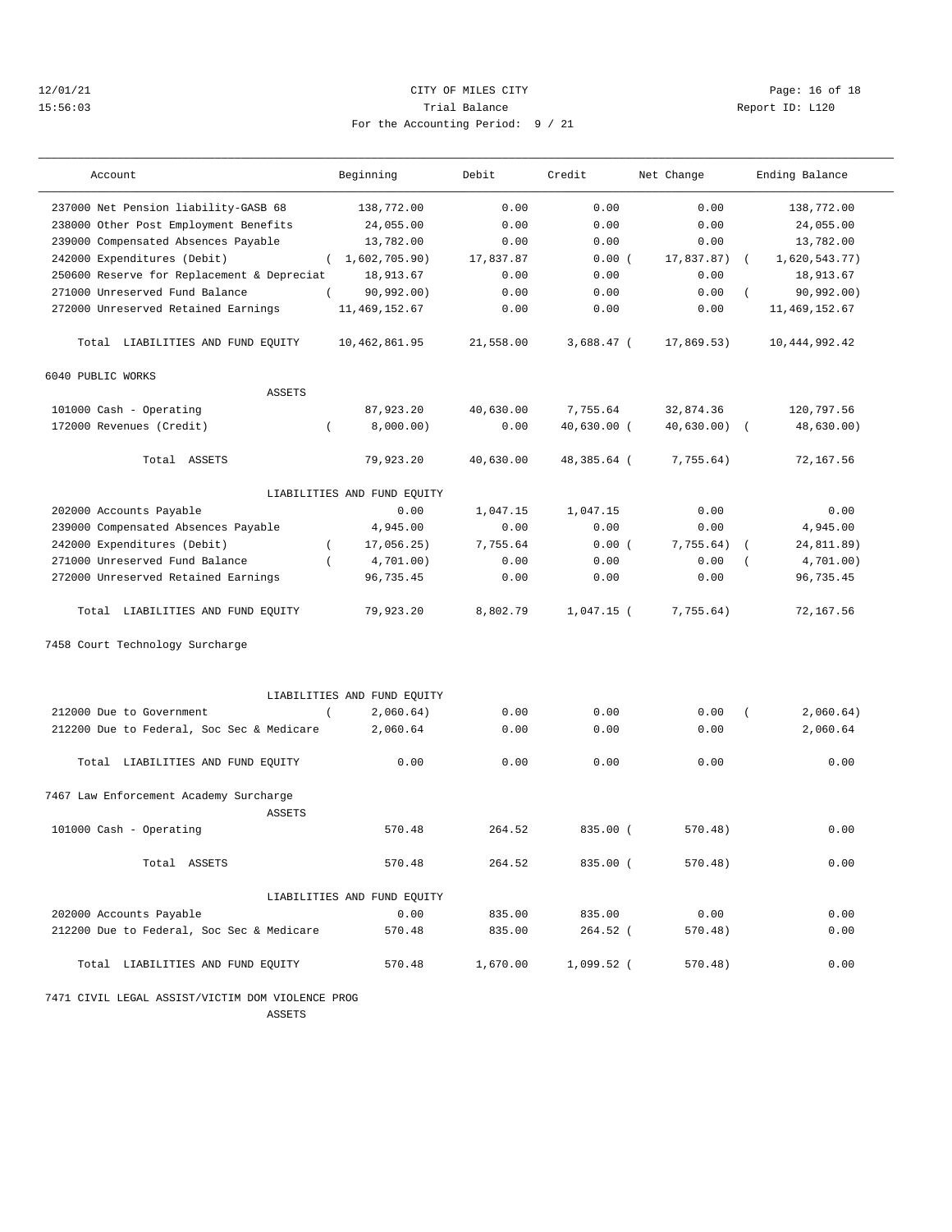## 12/01/21 **CITY OF MILES CITY CITY CITY Page: 16 of 18** 15:56:03 Trial Balance Report ID: L120 For the Accounting Period: 9 / 21

| Account                                            | Beginning                   | Debit     | Credit        | Net Change     | Ending Balance         |
|----------------------------------------------------|-----------------------------|-----------|---------------|----------------|------------------------|
| 237000 Net Pension liability-GASB 68               | 138,772.00                  | 0.00      | 0.00          | 0.00           | 138,772.00             |
| 238000 Other Post Employment Benefits              | 24,055.00                   | 0.00      | 0.00          | 0.00           | 24,055.00              |
| 239000 Compensated Absences Payable                | 13,782.00                   | 0.00      | 0.00          | 0.00           | 13,782.00              |
| 242000 Expenditures (Debit)                        | (1,602,705.90)              | 17,837.87 | 0.00(         | $17,837.87)$ ( | 1,620,543.77)          |
| 250600 Reserve for Replacement & Depreciat         | 18,913.67                   | 0.00      | 0.00          | 0.00           | 18,913.67              |
| 271000 Unreserved Fund Balance<br>$\left($         | 90, 992.00)                 | 0.00      | 0.00          | 0.00           | 90, 992.00)            |
| 272000 Unreserved Retained Earnings                | 11, 469, 152.67             | 0.00      | 0.00          | 0.00           | 11, 469, 152.67        |
| Total LIABILITIES AND FUND EQUITY                  | 10,462,861.95               | 21,558.00 | $3,688.47$ (  | 17,869.53)     | 10, 444, 992.42        |
| 6040 PUBLIC WORKS                                  |                             |           |               |                |                        |
| <b>ASSETS</b>                                      |                             |           |               |                |                        |
| 101000 Cash - Operating                            | 87,923.20                   | 40,630.00 | 7,755.64      | 32,874.36      | 120,797.56             |
| 172000 Revenues (Credit)<br>$\left($               | 8,000.00)                   | 0.00      | $40,630.00$ ( | $40,630.00)$ ( | 48,630.00)             |
| Total ASSETS                                       | 79,923.20                   | 40,630.00 | 48,385.64 (   | 7,755.64)      | 72,167.56              |
|                                                    | LIABILITIES AND FUND EQUITY |           |               |                |                        |
| 202000 Accounts Payable                            | 0.00                        | 1,047.15  | 1,047.15      | 0.00           | 0.00                   |
| 239000 Compensated Absences Payable                | 4,945.00                    | 0.00      | 0.00          | 0.00           | 4,945.00               |
| 242000 Expenditures (Debit)<br>$\left($            | 17,056.25)                  | 7,755.64  | 0.00(         | 7,755.64)      | 24,811.89)<br>$\left($ |
| 271000 Unreserved Fund Balance<br>$\overline{(\ }$ | 4,701.00)                   | 0.00      | 0.00          | 0.00           | 4,701.00)              |
| 272000 Unreserved Retained Earnings                | 96,735.45                   | 0.00      | 0.00          | 0.00           | 96,735.45              |
| Total LIABILITIES AND FUND EQUITY                  | 79,923.20                   | 8,802.79  | $1,047.15$ (  | 7,755.64)      | 72,167.56              |
| 7458 Court Technology Surcharge                    |                             |           |               |                |                        |
|                                                    |                             |           |               |                |                        |
|                                                    | LIABILITIES AND FUND EQUITY |           |               |                |                        |
| 212000 Due to Government<br>$\left($               | 2,060.64)                   | 0.00      | 0.00          | 0.00           | 2,060.64)              |
| 212200 Due to Federal, Soc Sec & Medicare          | 2,060.64                    | 0.00      | 0.00          | 0.00           | 2,060.64               |
| Total LIABILITIES AND FUND EQUITY                  | 0.00                        | 0.00      | 0.00          | 0.00           | 0.00                   |
| 7467 Law Enforcement Academy Surcharge             |                             |           |               |                |                        |
| <b>ASSETS</b>                                      |                             |           |               |                |                        |
| 101000 Cash - Operating                            | 570.48                      | 264.52    | $835.00$ $($  | 570.48)        | 0.00                   |
| Total ASSETS                                       | 570.48                      | 264.52    | $835.00$ (    | 570.48)        | 0.00                   |
|                                                    | LIABILITIES AND FUND EQUITY |           |               |                |                        |
| 202000 Accounts Payable                            | 0.00                        | 835.00    | 835.00        | 0.00           | 0.00                   |
| 212200 Due to Federal, Soc Sec & Medicare          | 570.48                      | 835.00    | 264.52 (      | 570.48)        | 0.00                   |
| Total LIABILITIES AND FUND EQUITY                  | 570.48                      | 1,670.00  | 1,099.52 (    | 570.48)        | 0.00                   |
| 7471 CIVIL LEGAL ASSIST/VICTIM DOM VIOLENCE PROG   |                             |           |               |                |                        |

ASSETS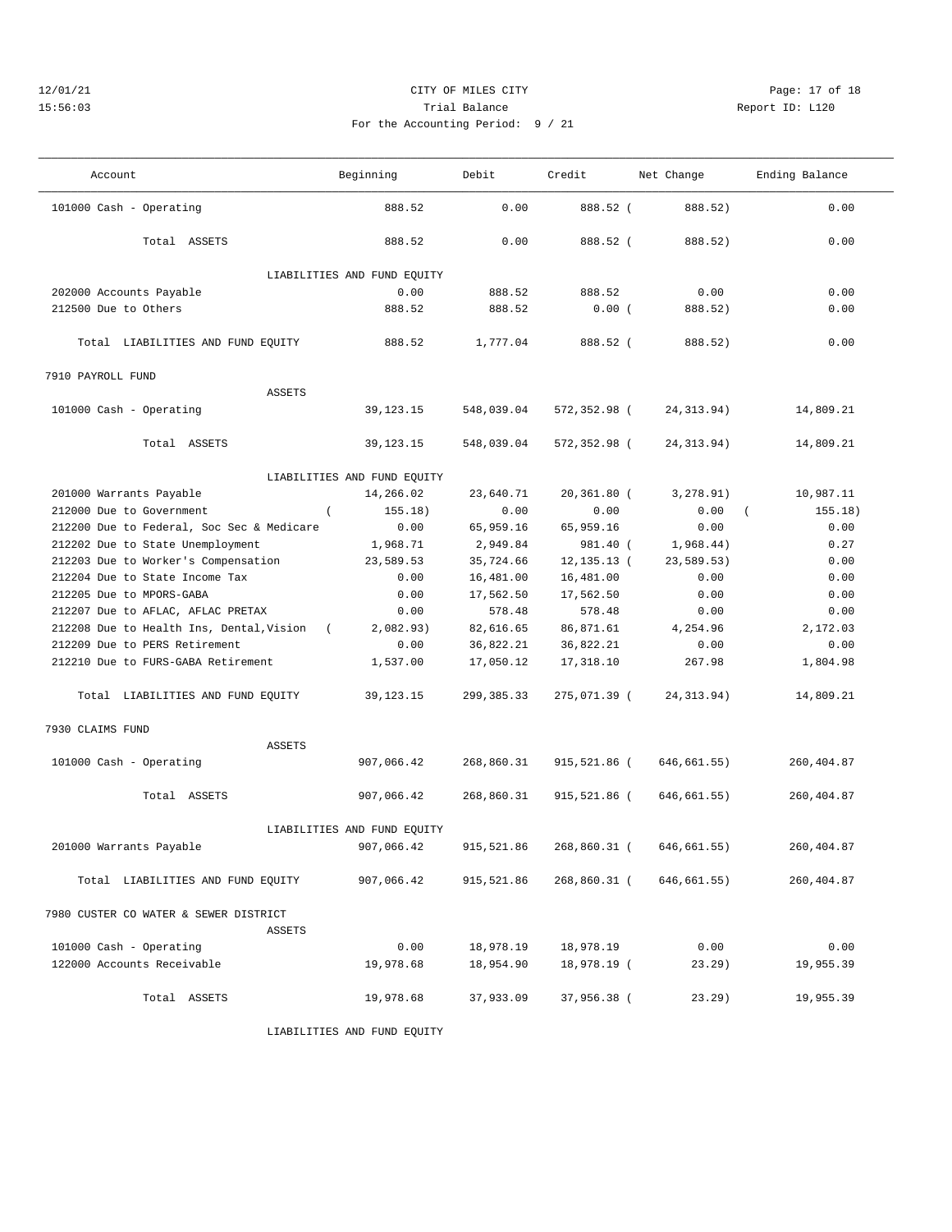### 12/01/21 Page: 17 of 18 15:56:03 Trial Balance Report ID: L120 For the Accounting

——————————————————————————————————————————————————————————————————————————————————————————————————————————————————————————————————— Account and Beginning Debit Credit Net Change Ending Balance ——————————————————————————————————————————————————————————————————————————————————————————————————————————————————————————————————— 101000 Cash - Operating 888.52 0.00 888.52 ( 888.52) 0.00

| Total ASSETS                               | 888.52                      | 0.00       | 888.52 (       | 888.52)          | 0.00        |
|--------------------------------------------|-----------------------------|------------|----------------|------------------|-------------|
|                                            | LIABILITIES AND FUND EQUITY |            |                |                  |             |
| 202000 Accounts Payable                    | 0.00                        | 888.52     | 888.52         | 0.00             | 0.00        |
| 212500 Due to Others                       | 888.52                      | 888.52     | 0.00(          | 888.52)          | 0.00        |
|                                            |                             |            |                |                  |             |
| Total LIABILITIES AND FUND EQUITY          | 888.52                      | 1,777.04   | 888.52 (       | 888.52)          | 0.00        |
| 7910 PAYROLL FUND                          |                             |            |                |                  |             |
| <b>ASSETS</b>                              |                             |            |                |                  |             |
| 101000 Cash - Operating                    | 39, 123. 15                 | 548,039.04 | 572,352.98 (   | 24, 313.94)      | 14,809.21   |
| Total ASSETS                               | 39, 123. 15                 | 548,039.04 | 572,352.98 (   | 24, 313.94)      | 14,809.21   |
|                                            | LIABILITIES AND FUND EQUITY |            |                |                  |             |
| 201000 Warrants Payable                    | 14,266.02                   | 23,640.71  | 20,361.80 (    | 3,278.91)        | 10,987.11   |
| $\left($<br>212000 Due to Government       | 155.18)                     | 0.00       | 0.00           | 0.00<br>$\left($ | 155.18)     |
| 212200 Due to Federal, Soc Sec & Medicare  | 0.00                        | 65,959.16  | 65,959.16      | 0.00             | 0.00        |
| 212202 Due to State Unemployment           | 1,968.71                    | 2,949.84   | 981.40 (       | 1,968.44)        | 0.27        |
| 212203 Due to Worker's Compensation        | 23,589.53                   | 35,724.66  | $12, 135.13$ ( | 23,589.53)       | 0.00        |
| 212204 Due to State Income Tax             | 0.00                        | 16,481.00  | 16,481.00      | 0.00             | 0.00        |
| 212205 Due to MPORS-GABA                   | 0.00                        | 17,562.50  | 17,562.50      | 0.00             | 0.00        |
| 212207 Due to AFLAC, AFLAC PRETAX          | 0.00                        | 578.48     | 578.48         | 0.00             | 0.00        |
| 212208 Due to Health Ins, Dental, Vision ( | 2,082.93)                   | 82,616.65  | 86,871.61      | 4,254.96         | 2,172.03    |
| 212209 Due to PERS Retirement              | 0.00                        | 36,822.21  | 36,822.21      | 0.00             | 0.00        |
| 212210 Due to FURS-GABA Retirement         | 1,537.00                    | 17,050.12  | 17,318.10      | 267.98           | 1,804.98    |
| Total LIABILITIES AND FUND EQUITY          | 39, 123. 15                 | 299,385.33 | 275,071.39 (   | 24, 313.94)      | 14,809.21   |
| 7930 CLAIMS FUND                           |                             |            |                |                  |             |
| <b>ASSETS</b>                              |                             |            |                |                  |             |
| 101000 Cash - Operating                    | 907,066.42                  | 268,860.31 | 915,521.86 (   | 646,661.55)      | 260, 404.87 |
|                                            |                             |            |                |                  |             |
| Total ASSETS                               | 907,066.42                  | 268,860.31 | 915,521.86 (   | 646,661.55)      | 260,404.87  |
|                                            | LIABILITIES AND FUND EQUITY |            |                |                  |             |
| 201000 Warrants Payable                    | 907,066.42                  | 915,521.86 | 268,860.31 (   | 646,661.55)      | 260,404.87  |
| Total LIABILITIES AND FUND EQUITY          | 907,066.42                  | 915,521.86 | 268,860.31 (   | 646, 661.55)     | 260,404.87  |
| 7980 CUSTER CO WATER & SEWER DISTRICT      |                             |            |                |                  |             |
| <b>ASSETS</b>                              |                             |            |                |                  |             |
| 101000 Cash - Operating                    | 0.00                        | 18,978.19  | 18,978.19      | 0.00             | 0.00        |
| 122000 Accounts Receivable                 | 19,978.68                   | 18,954.90  | 18,978.19 (    | $23.29$ )        | 19,955.39   |
| Total ASSETS                               | 19,978.68                   | 37,933.09  | 37,956.38 (    | $23.29$ )        | 19,955.39   |
|                                            | LIABILITIES AND FUND EQUITY |            |                |                  |             |